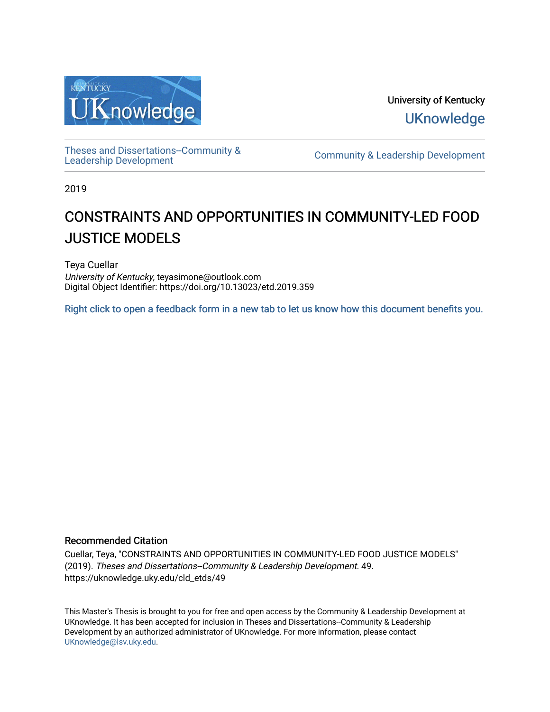

University of Kentucky **UKnowledge** 

[Theses and Dissertations--Community &](https://uknowledge.uky.edu/cld_etds)

[Leadership Development](https://uknowledge.uky.edu/cld_etds) [Community & Leadership Development](https://uknowledge.uky.edu/cld) 

2019

# CONSTRAINTS AND OPPORTUNITIES IN COMMUNITY-LED FOOD JUSTICE MODELS

Teya Cuellar University of Kentucky, teyasimone@outlook.com Digital Object Identifier: https://doi.org/10.13023/etd.2019.359

[Right click to open a feedback form in a new tab to let us know how this document benefits you.](https://uky.az1.qualtrics.com/jfe/form/SV_9mq8fx2GnONRfz7)

## Recommended Citation

Cuellar, Teya, "CONSTRAINTS AND OPPORTUNITIES IN COMMUNITY-LED FOOD JUSTICE MODELS" (2019). Theses and Dissertations--Community & Leadership Development. 49. https://uknowledge.uky.edu/cld\_etds/49

This Master's Thesis is brought to you for free and open access by the Community & Leadership Development at UKnowledge. It has been accepted for inclusion in Theses and Dissertations--Community & Leadership Development by an authorized administrator of UKnowledge. For more information, please contact [UKnowledge@lsv.uky.edu.](mailto:UKnowledge@lsv.uky.edu)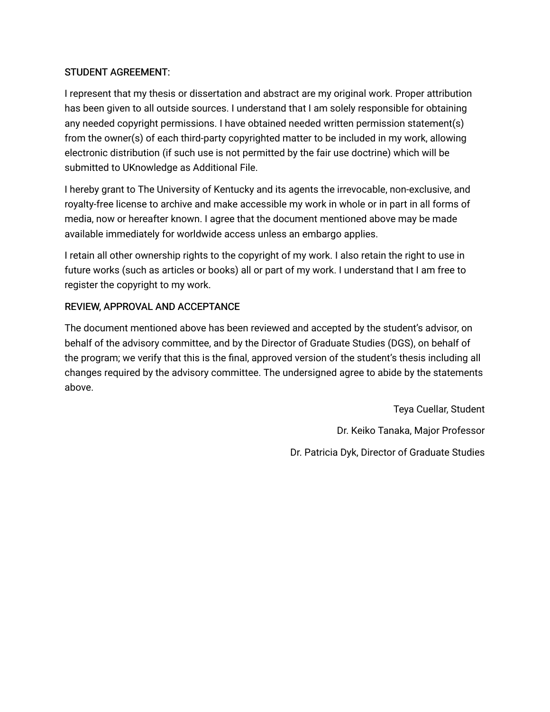## STUDENT AGREEMENT:

I represent that my thesis or dissertation and abstract are my original work. Proper attribution has been given to all outside sources. I understand that I am solely responsible for obtaining any needed copyright permissions. I have obtained needed written permission statement(s) from the owner(s) of each third-party copyrighted matter to be included in my work, allowing electronic distribution (if such use is not permitted by the fair use doctrine) which will be submitted to UKnowledge as Additional File.

I hereby grant to The University of Kentucky and its agents the irrevocable, non-exclusive, and royalty-free license to archive and make accessible my work in whole or in part in all forms of media, now or hereafter known. I agree that the document mentioned above may be made available immediately for worldwide access unless an embargo applies.

I retain all other ownership rights to the copyright of my work. I also retain the right to use in future works (such as articles or books) all or part of my work. I understand that I am free to register the copyright to my work.

## REVIEW, APPROVAL AND ACCEPTANCE

The document mentioned above has been reviewed and accepted by the student's advisor, on behalf of the advisory committee, and by the Director of Graduate Studies (DGS), on behalf of the program; we verify that this is the final, approved version of the student's thesis including all changes required by the advisory committee. The undersigned agree to abide by the statements above.

> Teya Cuellar, Student Dr. Keiko Tanaka, Major Professor Dr. Patricia Dyk, Director of Graduate Studies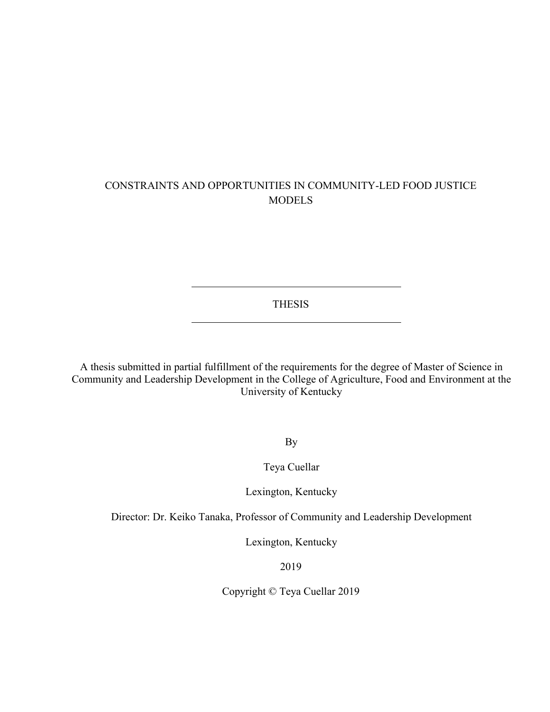## CONSTRAINTS AND OPPORTUNITIES IN COMMUNITY-LED FOOD JUSTICE **MODELS**

THESIS

A thesis submitted in partial fulfillment of the requirements for the degree of Master of Science in Community and Leadership Development in the College of Agriculture, Food and Environment at the University of Kentucky

By

Teya Cuellar

Lexington, Kentucky

Director: Dr. Keiko Tanaka, Professor of Community and Leadership Development

Lexington, Kentucky

2019

Copyright © Teya Cuellar 2019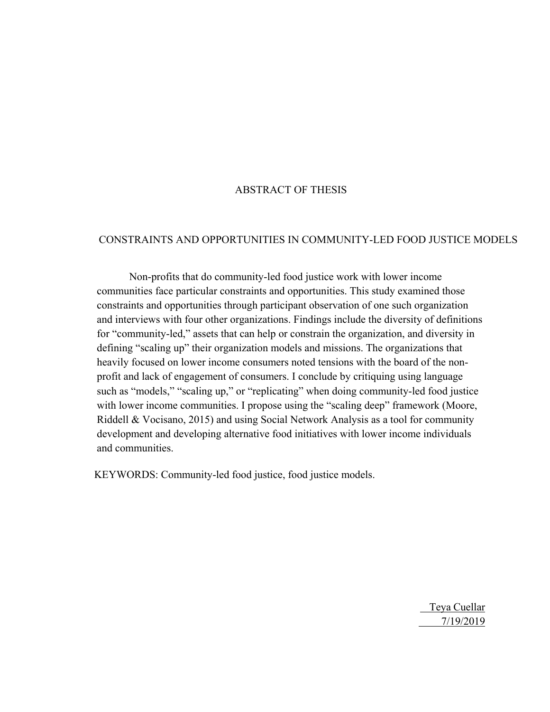## ABSTRACT OF THESIS

### CONSTRAINTS AND OPPORTUNITIES IN COMMUNITY-LED FOOD JUSTICE MODELS

Non-profits that do community-led food justice work with lower income communities face particular constraints and opportunities. This study examined those constraints and opportunities through participant observation of one such organization and interviews with four other organizations. Findings include the diversity of definitions for "community-led," assets that can help or constrain the organization, and diversity in defining "scaling up" their organization models and missions. The organizations that heavily focused on lower income consumers noted tensions with the board of the nonprofit and lack of engagement of consumers. I conclude by critiquing using language such as "models," "scaling up," or "replicating" when doing community-led food justice with lower income communities. I propose using the "scaling deep" framework (Moore, Riddell & Vocisano, 2015) and using Social Network Analysis as a tool for community development and developing alternative food initiatives with lower income individuals and communities.

KEYWORDS: Community-led food justice, food justice models.

 Teya Cuellar 7/19/2019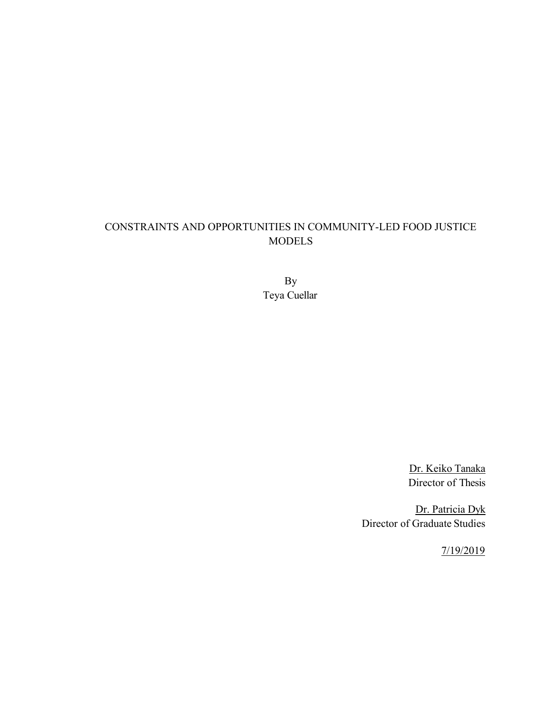# CONSTRAINTS AND OPPORTUNITIES IN COMMUNITY-LED FOOD JUSTICE MODELS

By Teya Cuellar

> Dr. Keiko Tanaka Director of Thesis

Dr. Patricia Dyk Director of Graduate Studies

7/19/2019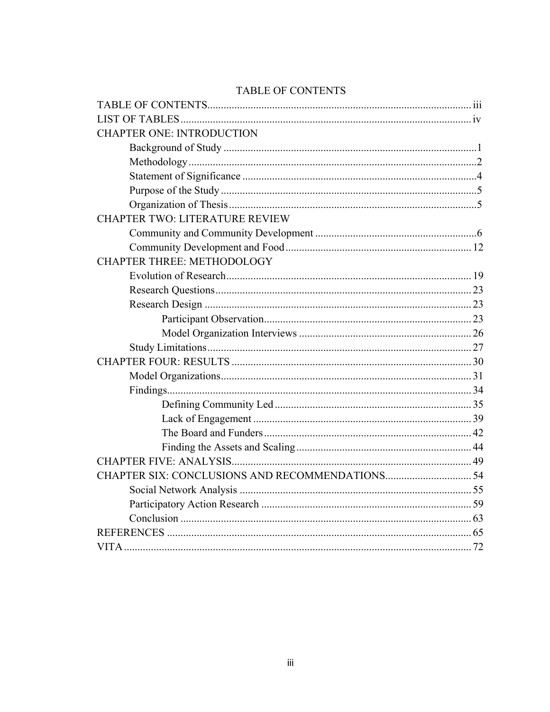| <b>CHAPTER ONE: INTRODUCTION</b><br>CHAPTER TWO: LITERATURE REVIEW<br><b>CHAPTER THREE: METHODOLOGY</b> |
|---------------------------------------------------------------------------------------------------------|
|                                                                                                         |
|                                                                                                         |
|                                                                                                         |
|                                                                                                         |
|                                                                                                         |
|                                                                                                         |
|                                                                                                         |
|                                                                                                         |
|                                                                                                         |
|                                                                                                         |
|                                                                                                         |
|                                                                                                         |
|                                                                                                         |
|                                                                                                         |
|                                                                                                         |
|                                                                                                         |
|                                                                                                         |
|                                                                                                         |
|                                                                                                         |
|                                                                                                         |
|                                                                                                         |
|                                                                                                         |
|                                                                                                         |
|                                                                                                         |
|                                                                                                         |
|                                                                                                         |
|                                                                                                         |
|                                                                                                         |
|                                                                                                         |
|                                                                                                         |
|                                                                                                         |

## TABLE OF CONTENTS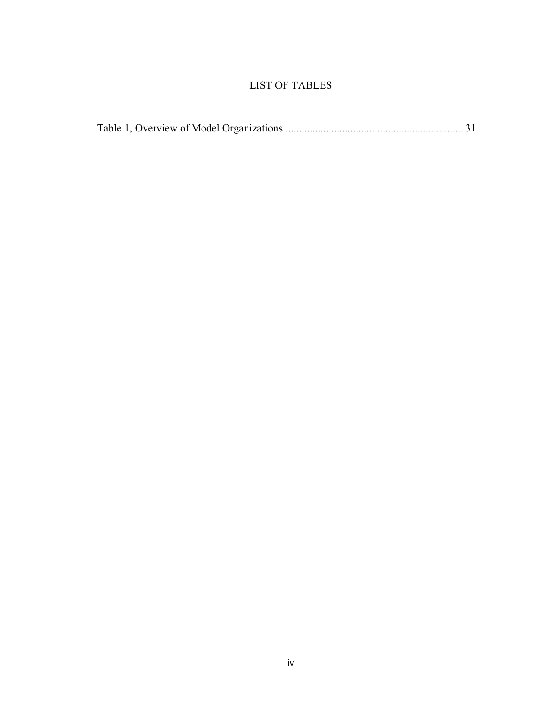# LIST OF TABLES

|--|--|--|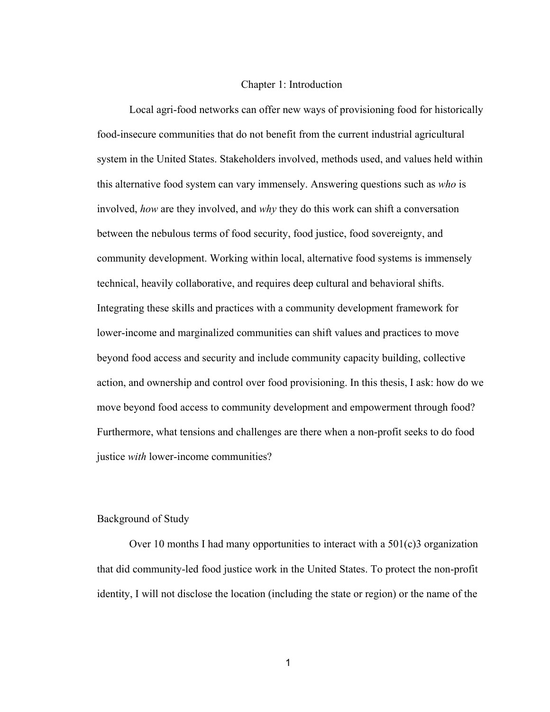#### Chapter 1: Introduction

Local agri-food networks can offer new ways of provisioning food for historically food-insecure communities that do not benefit from the current industrial agricultural system in the United States. Stakeholders involved, methods used, and values held within this alternative food system can vary immensely. Answering questions such as *who* is involved, *how* are they involved, and *why* they do this work can shift a conversation between the nebulous terms of food security, food justice, food sovereignty, and community development. Working within local, alternative food systems is immensely technical, heavily collaborative, and requires deep cultural and behavioral shifts. Integrating these skills and practices with a community development framework for lower-income and marginalized communities can shift values and practices to move beyond food access and security and include community capacity building, collective action, and ownership and control over food provisioning. In this thesis, I ask: how do we move beyond food access to community development and empowerment through food? Furthermore, what tensions and challenges are there when a non-profit seeks to do food justice *with* lower-income communities?

## <span id="page-7-0"></span>Background of Study

Over 10 months I had many opportunities to interact with a  $501(c)3$  organization that did community-led food justice work in the United States. To protect the non-profit identity, I will not disclose the location (including the state or region) or the name of the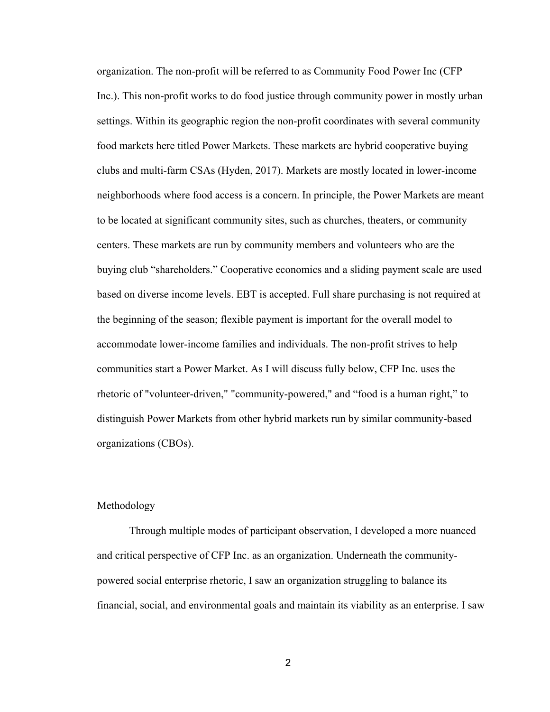organization. The non-profit will be referred to as Community Food Power Inc (CFP Inc.). This non-profit works to do food justice through community power in mostly urban settings. Within its geographic region the non-profit coordinates with several community food markets here titled Power Markets. These markets are hybrid cooperative buying clubs and multi-farm CSAs (Hyden, 2017). Markets are mostly located in lower-income neighborhoods where food access is a concern. In principle, the Power Markets are meant to be located at significant community sites, such as churches, theaters, or community centers. These markets are run by community members and volunteers who are the buying club "shareholders." Cooperative economics and a sliding payment scale are used based on diverse income levels. EBT is accepted. Full share purchasing is not required at the beginning of the season; flexible payment is important for the overall model to accommodate lower-income families and individuals. The non-profit strives to help communities start a Power Market. As I will discuss fully below, CFP Inc. uses the rhetoric of "volunteer-driven," "community-powered," and "food is a human right," to distinguish Power Markets from other hybrid markets run by similar community-based organizations (CBOs).

### <span id="page-8-0"></span>Methodology

Through multiple modes of participant observation, I developed a more nuanced and critical perspective of CFP Inc. as an organization. Underneath the communitypowered social enterprise rhetoric, I saw an organization struggling to balance its financial, social, and environmental goals and maintain its viability as an enterprise. I saw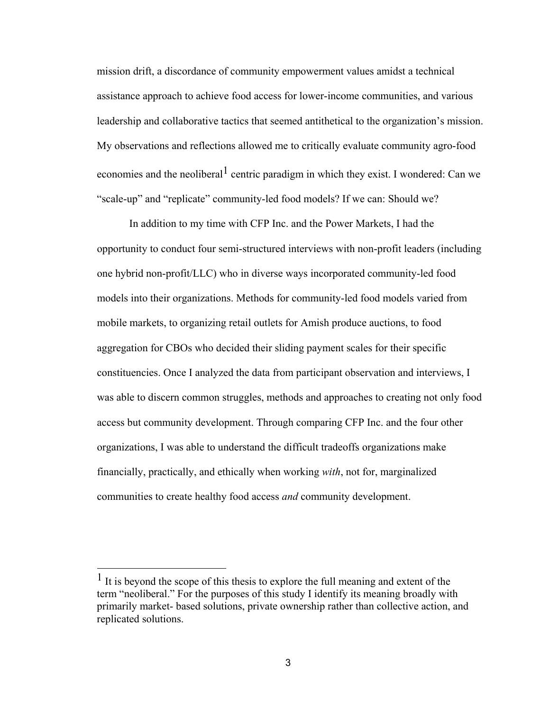mission drift, a discordance of community empowerment values amidst a technical assistance approach to achieve food access for lower-income communities, and various leadership and collaborative tactics that seemed antithetical to the organization's mission. My observations and reflections allowed me to critically evaluate community agro-food economies and the neoliberal centric paradigm in which they exist. I wondered: Can we "scale-up" and "replicate" community-led food models? If we can: Should we?

In addition to my time with CFP Inc. and the Power Markets, I had the opportunity to conduct four semi-structured interviews with non-profit leaders (including one hybrid non-profit/LLC) who in diverse ways incorporated community-led food models into their organizations. Methods for community-led food models varied from mobile markets, to organizing retail outlets for Amish produce auctions, to food aggregation for CBOs who decided their sliding payment scales for their specific constituencies. Once I analyzed the data from participant observation and interviews, I was able to discern common struggles, methods and approaches to creating not only food access but community development. Through comparing CFP Inc. and the four other organizations, I was able to understand the difficult tradeoffs organizations make financially, practically, and ethically when working *with*, not for, marginalized communities to create healthy food access *and* community development.

<sup>&</sup>lt;sup>1</sup> It is beyond the scope of this thesis to explore the full meaning and extent of the term "neoliberal." For the purposes of this study I identify its meaning broadly with primarily market- based solutions, private ownership rather than collective action, and replicated solutions.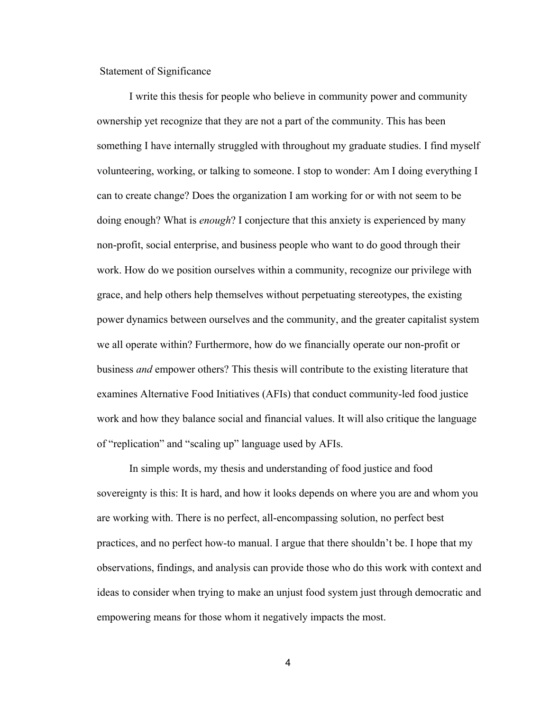<span id="page-10-0"></span>Statement of Significance

I write this thesis for people who believe in community power and community ownership yet recognize that they are not a part of the community. This has been something I have internally struggled with throughout my graduate studies. I find myself volunteering, working, or talking to someone. I stop to wonder: Am I doing everything I can to create change? Does the organization I am working for or with not seem to be doing enough? What is *enough*? I conjecture that this anxiety is experienced by many non-profit, social enterprise, and business people who want to do good through their work. How do we position ourselves within a community, recognize our privilege with grace, and help others help themselves without perpetuating stereotypes, the existing power dynamics between ourselves and the community, and the greater capitalist system we all operate within? Furthermore, how do we financially operate our non-profit or business *and* empower others? This thesis will contribute to the existing literature that examines Alternative Food Initiatives (AFIs) that conduct community-led food justice work and how they balance social and financial values. It will also critique the language of "replication" and "scaling up" language used by AFIs.

In simple words, my thesis and understanding of food justice and food sovereignty is this: It is hard, and how it looks depends on where you are and whom you are working with. There is no perfect, all-encompassing solution, no perfect best practices, and no perfect how-to manual. I argue that there shouldn't be. I hope that my observations, findings, and analysis can provide those who do this work with context and ideas to consider when trying to make an unjust food system just through democratic and empowering means for those whom it negatively impacts the most.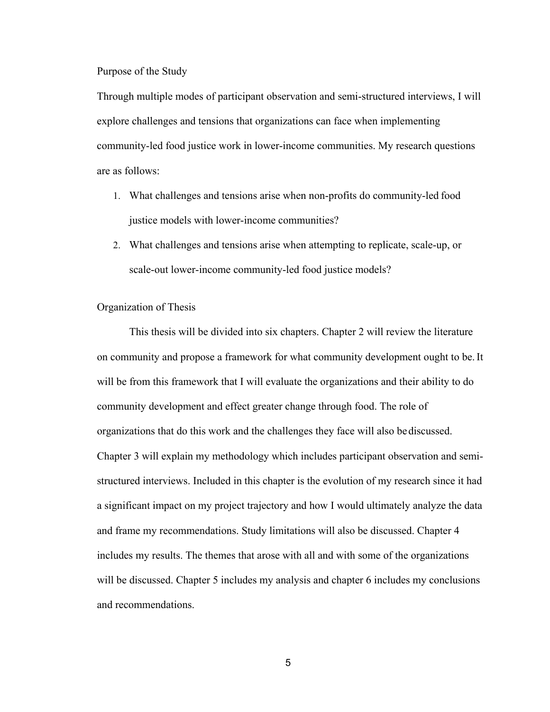<span id="page-11-0"></span>Purpose of the Study

Through multiple modes of participant observation and semi-structured interviews, I will explore challenges and tensions that organizations can face when implementing community-led food justice work in lower-income communities. My research questions are as follows:

- 1. What challenges and tensions arise when non-profits do community-led food justice models with lower-income communities?
- 2. What challenges and tensions arise when attempting to replicate, scale-up, or scale-out lower-income community-led food justice models?

#### <span id="page-11-1"></span>Organization of Thesis

This thesis will be divided into six chapters. Chapter 2 will review the literature on community and propose a framework for what community development ought to be.It will be from this framework that I will evaluate the organizations and their ability to do community development and effect greater change through food. The role of organizations that do this work and the challenges they face will also bediscussed. Chapter 3 will explain my methodology which includes participant observation and semistructured interviews. Included in this chapter is the evolution of my research since it had a significant impact on my project trajectory and how I would ultimately analyze the data and frame my recommendations. Study limitations will also be discussed. Chapter 4 includes my results. The themes that arose with all and with some of the organizations will be discussed. Chapter 5 includes my analysis and chapter 6 includes my conclusions and recommendations.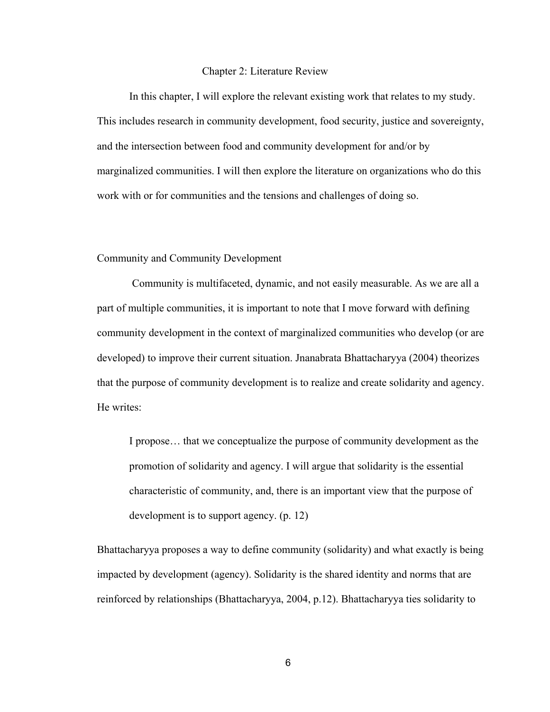#### Chapter 2: Literature Review

In this chapter, I will explore the relevant existing work that relates to my study. This includes research in community development, food security, justice and sovereignty, and the intersection between food and community development for and/or by marginalized communities. I will then explore the literature on organizations who do this work with or for communities and the tensions and challenges of doing so.

#### <span id="page-12-0"></span>Community and Community Development

Community is multifaceted, dynamic, and not easily measurable. As we are all a part of multiple communities, it is important to note that I move forward with defining community development in the context of marginalized communities who develop (or are developed) to improve their current situation. Jnanabrata Bhattacharyya (2004) theorizes that the purpose of community development is to realize and create solidarity and agency. He writes:

I propose… that we conceptualize the purpose of community development as the promotion of solidarity and agency. I will argue that solidarity is the essential characteristic of community, and, there is an important view that the purpose of development is to support agency. (p. 12)

Bhattacharyya proposes a way to define community (solidarity) and what exactly is being impacted by development (agency). Solidarity is the shared identity and norms that are reinforced by relationships (Bhattacharyya, 2004, p.12). Bhattacharyya ties solidarity to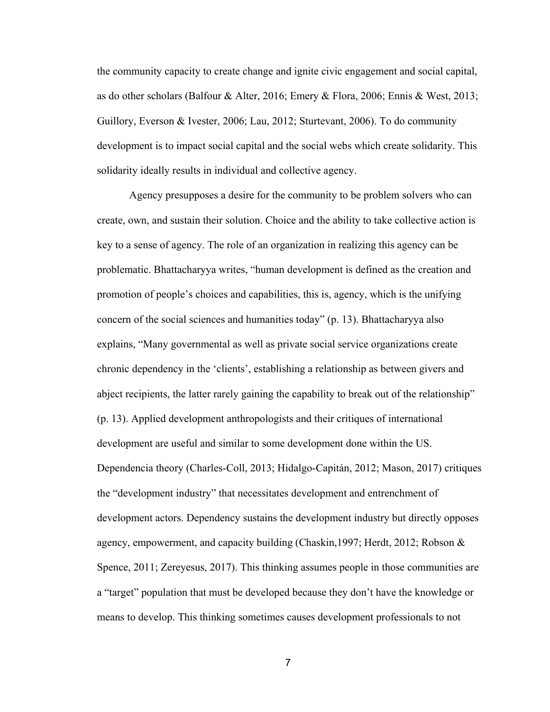the community capacity to create change and ignite civic engagement and social capital, as do other scholars (Balfour & Alter, 2016; Emery & Flora, 2006; Ennis & West, 2013; Guillory, Everson & Ivester, 2006; Lau, 2012; Sturtevant, 2006). To do community development is to impact social capital and the social webs which create solidarity. This solidarity ideally results in individual and collective agency.

Agency presupposes a desire for the community to be problem solvers who can create, own, and sustain their solution. Choice and the ability to take collective action is key to a sense of agency. The role of an organization in realizing this agency can be problematic. Bhattacharyya writes, "human development is defined as the creation and promotion of people's choices and capabilities, this is, agency, which is the unifying concern of the social sciences and humanities today" (p. 13). Bhattacharyya also explains, "Many governmental as well as private social service organizations create chronic dependency in the 'clients', establishing a relationship as between givers and abject recipients, the latter rarely gaining the capability to break out of the relationship" (p. 13). Applied development anthropologists and their critiques of international development are useful and similar to some development done within the US. Dependencia theory (Charles-Coll, 2013; Hidalgo-Capitán, 2012; Mason, 2017) critiques the "development industry" that necessitates development and entrenchment of development actors. Dependency sustains the development industry but directly opposes agency, empowerment, and capacity building (Chaskin,1997; Herdt, 2012; Robson & Spence, 2011; Zereyesus, 2017). This thinking assumes people in those communities are a "target" population that must be developed because they don't have the knowledge or means to develop. This thinking sometimes causes development professionals to not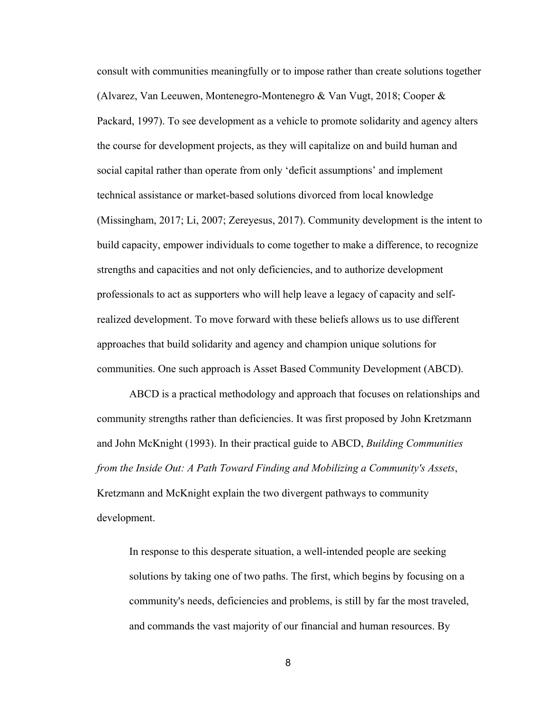consult with communities meaningfully or to impose rather than create solutions together (Alvarez, Van Leeuwen, Montenegro-Montenegro & Van Vugt, 2018; Cooper & Packard, 1997). To see development as a vehicle to promote solidarity and agency alters the course for development projects, as they will capitalize on and build human and social capital rather than operate from only 'deficit assumptions' and implement technical assistance or market-based solutions divorced from local knowledge (Missingham, 2017; Li, 2007; Zereyesus, 2017). Community development is the intent to build capacity, empower individuals to come together to make a difference, to recognize strengths and capacities and not only deficiencies, and to authorize development professionals to act as supporters who will help leave a legacy of capacity and selfrealized development. To move forward with these beliefs allows us to use different approaches that build solidarity and agency and champion unique solutions for communities. One such approach is Asset Based Community Development (ABCD).

ABCD is a practical methodology and approach that focuses on relationships and community strengths rather than deficiencies. It was first proposed by John Kretzmann and John McKnight (1993). In their practical guide to ABCD, *Building Communities from the Inside Out: A Path Toward Finding and Mobilizing a Community's Assets*, Kretzmann and McKnight explain the two divergent pathways to community development.

In response to this desperate situation, a well-intended people are seeking solutions by taking one of two paths. The first, which begins by focusing on a community's needs, deficiencies and problems, is still by far the most traveled, and commands the vast majority of our financial and human resources. By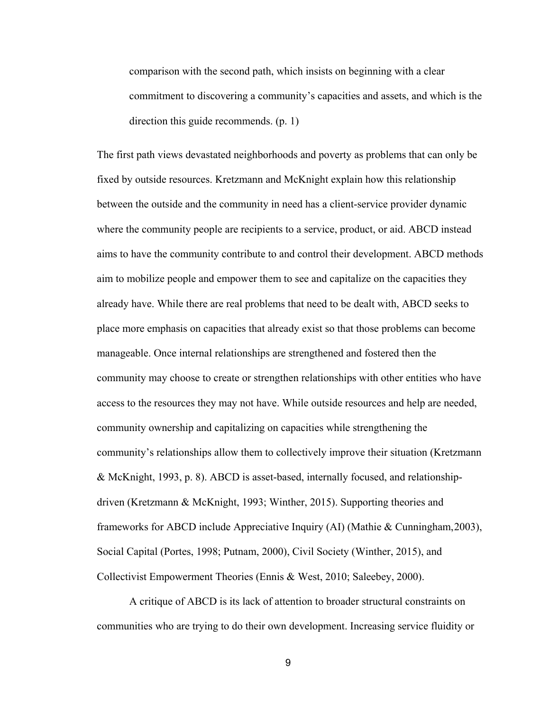comparison with the second path, which insists on beginning with a clear commitment to discovering a community's capacities and assets, and which is the direction this guide recommends. (p. 1)

The first path views devastated neighborhoods and poverty as problems that can only be fixed by outside resources. Kretzmann and McKnight explain how this relationship between the outside and the community in need has a client-service provider dynamic where the community people are recipients to a service, product, or aid. ABCD instead aims to have the community contribute to and control their development. ABCD methods aim to mobilize people and empower them to see and capitalize on the capacities they already have. While there are real problems that need to be dealt with, ABCD seeks to place more emphasis on capacities that already exist so that those problems can become manageable. Once internal relationships are strengthened and fostered then the community may choose to create or strengthen relationships with other entities who have access to the resources they may not have. While outside resources and help are needed, community ownership and capitalizing on capacities while strengthening the community's relationships allow them to collectively improve their situation (Kretzmann & McKnight, 1993, p. 8). ABCD is asset-based, internally focused, and relationshipdriven (Kretzmann & McKnight, 1993; Winther, 2015). Supporting theories and frameworks for ABCD include Appreciative Inquiry (AI) (Mathie & Cunningham,2003), Social Capital (Portes, 1998; Putnam, 2000), Civil Society (Winther, 2015), and Collectivist Empowerment Theories (Ennis & West, 2010; Saleebey, 2000).

A critique of ABCD is its lack of attention to broader structural constraints on communities who are trying to do their own development. Increasing service fluidity or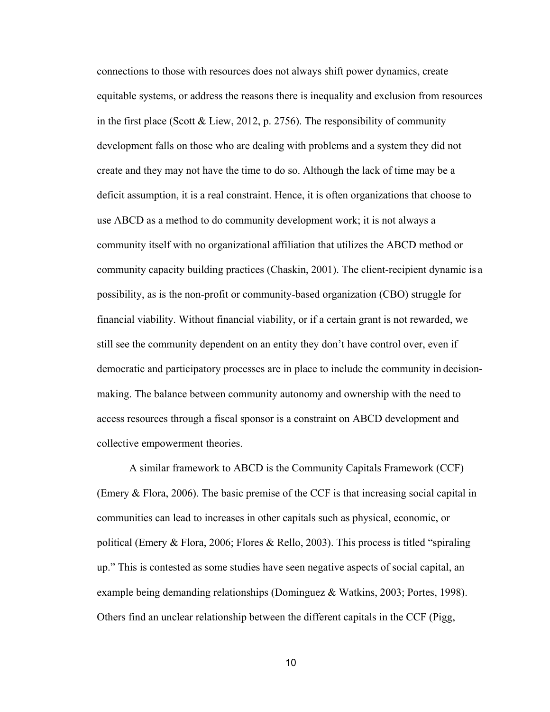connections to those with resources does not always shift power dynamics, create equitable systems, or address the reasons there is inequality and exclusion from resources in the first place (Scott & Liew, 2012, p. 2756). The responsibility of community development falls on those who are dealing with problems and a system they did not create and they may not have the time to do so. Although the lack of time may be a deficit assumption, it is a real constraint. Hence, it is often organizations that choose to use ABCD as a method to do community development work; it is not always a community itself with no organizational affiliation that utilizes the ABCD method or community capacity building practices (Chaskin, 2001). The client-recipient dynamic is a possibility, as is the non-profit or community-based organization (CBO) struggle for financial viability. Without financial viability, or if a certain grant is not rewarded, we still see the community dependent on an entity they don't have control over, even if democratic and participatory processes are in place to include the community in decisionmaking. The balance between community autonomy and ownership with the need to access resources through a fiscal sponsor is a constraint on ABCD development and collective empowerment theories.

A similar framework to ABCD is the Community Capitals Framework (CCF) (Emery & Flora, 2006). The basic premise of the CCF is that increasing social capital in communities can lead to increases in other capitals such as physical, economic, or political (Emery & Flora, 2006; Flores & Rello, 2003). This process is titled "spiraling up." This is contested as some studies have seen negative aspects of social capital, an example being demanding relationships (Dominguez & Watkins, 2003; Portes, 1998). Others find an unclear relationship between the different capitals in the CCF (Pigg,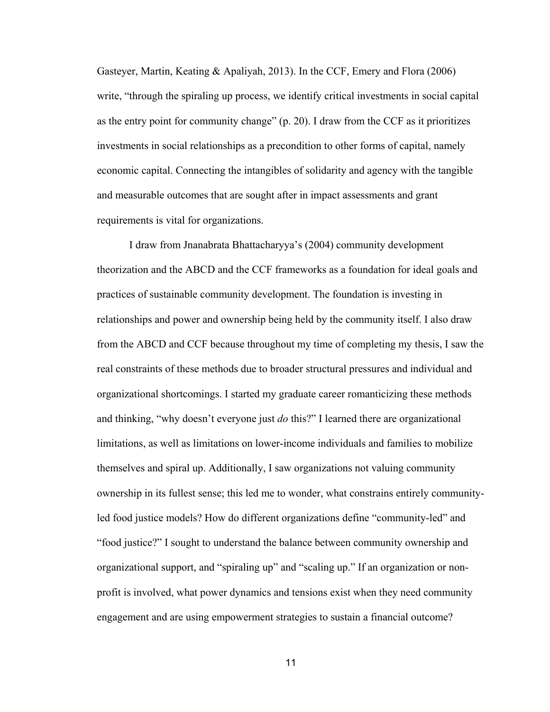Gasteyer, Martin, Keating & Apaliyah, 2013). In the CCF, Emery and Flora (2006) write, "through the spiraling up process, we identify critical investments in social capital as the entry point for community change" (p. 20). I draw from the CCF as it prioritizes investments in social relationships as a precondition to other forms of capital, namely economic capital. Connecting the intangibles of solidarity and agency with the tangible and measurable outcomes that are sought after in impact assessments and grant requirements is vital for organizations.

I draw from Jnanabrata Bhattacharyya's (2004) community development theorization and the ABCD and the CCF frameworks as a foundation for ideal goals and practices of sustainable community development. The foundation is investing in relationships and power and ownership being held by the community itself. I also draw from the ABCD and CCF because throughout my time of completing my thesis, I saw the real constraints of these methods due to broader structural pressures and individual and organizational shortcomings. I started my graduate career romanticizing these methods and thinking, "why doesn't everyone just *do* this?" I learned there are organizational limitations, as well as limitations on lower-income individuals and families to mobilize themselves and spiral up. Additionally, I saw organizations not valuing community ownership in its fullest sense; this led me to wonder, what constrains entirely communityled food justice models? How do different organizations define "community-led" and "food justice?" I sought to understand the balance between community ownership and organizational support, and "spiraling up" and "scaling up." If an organization or nonprofit is involved, what power dynamics and tensions exist when they need community engagement and are using empowerment strategies to sustain a financial outcome?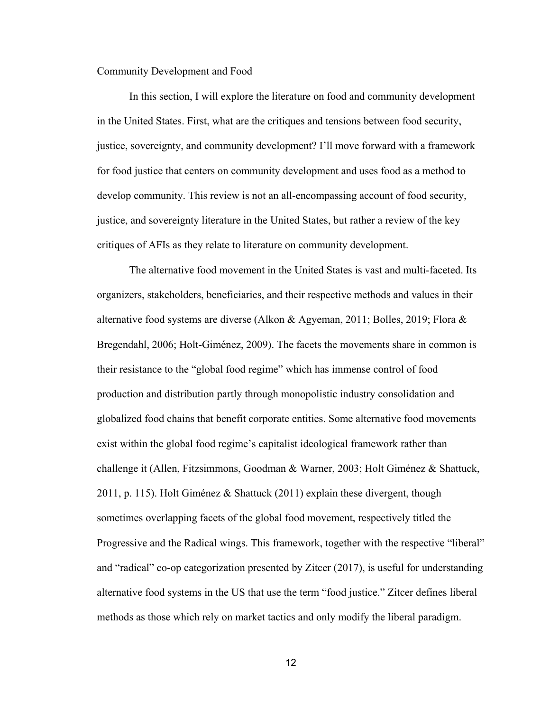#### <span id="page-18-0"></span>Community Development and Food

In this section, I will explore the literature on food and community development in the United States. First, what are the critiques and tensions between food security, justice, sovereignty, and community development? I'll move forward with a framework for food justice that centers on community development and uses food as a method to develop community. This review is not an all-encompassing account of food security, justice, and sovereignty literature in the United States, but rather a review of the key critiques of AFIs as they relate to literature on community development.

The alternative food movement in the United States is vast and multi-faceted. Its organizers, stakeholders, beneficiaries, and their respective methods and values in their alternative food systems are diverse (Alkon & Agyeman, 2011; Bolles, 2019; Flora & Bregendahl, 2006; Holt-Giménez, 2009). The facets the movements share in common is their resistance to the "global food regime" which has immense control of food production and distribution partly through monopolistic industry consolidation and globalized food chains that benefit corporate entities. Some alternative food movements exist within the global food regime's capitalist ideological framework rather than challenge it (Allen, Fitzsimmons, Goodman & Warner, 2003; Holt Giménez & Shattuck, 2011, p. 115). Holt Giménez & Shattuck (2011) explain these divergent, though sometimes overlapping facets of the global food movement, respectively titled the Progressive and the Radical wings. This framework, together with the respective "liberal" and "radical" co-op categorization presented by Zitcer (2017), is useful for understanding alternative food systems in the US that use the term "food justice." Zitcer defines liberal methods as those which rely on market tactics and only modify the liberal paradigm.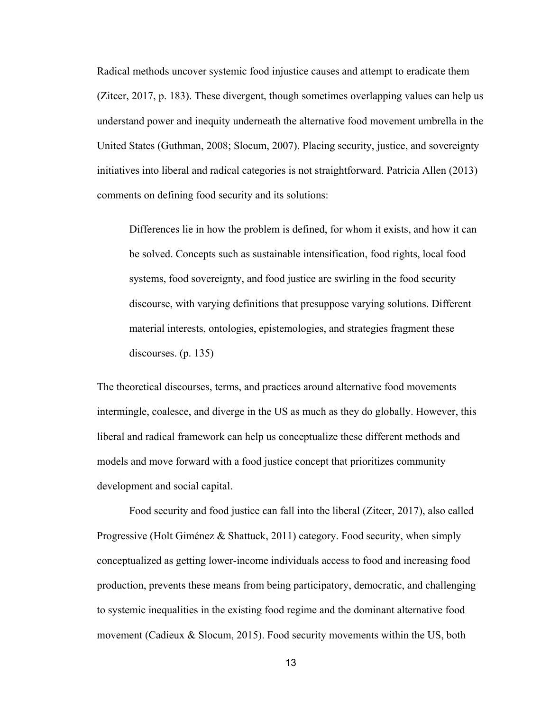Radical methods uncover systemic food injustice causes and attempt to eradicate them (Zitcer, 2017, p. 183). These divergent, though sometimes overlapping values can help us understand power and inequity underneath the alternative food movement umbrella in the United States (Guthman, 2008; Slocum, 2007). Placing security, justice, and sovereignty initiatives into liberal and radical categories is not straightforward. Patricia Allen (2013) comments on defining food security and its solutions:

Differences lie in how the problem is defined, for whom it exists, and how it can be solved. Concepts such as sustainable intensification, food rights, local food systems, food sovereignty, and food justice are swirling in the food security discourse, with varying definitions that presuppose varying solutions. Different material interests, ontologies, epistemologies, and strategies fragment these discourses. (p. 135)

The theoretical discourses, terms, and practices around alternative food movements intermingle, coalesce, and diverge in the US as much as they do globally. However, this liberal and radical framework can help us conceptualize these different methods and models and move forward with a food justice concept that prioritizes community development and social capital.

Food security and food justice can fall into the liberal (Zitcer, 2017), also called Progressive (Holt Giménez & Shattuck, 2011) category. Food security, when simply conceptualized as getting lower-income individuals access to food and increasing food production, prevents these means from being participatory, democratic, and challenging to systemic inequalities in the existing food regime and the dominant alternative food movement (Cadieux & Slocum, 2015). Food security movements within the US, both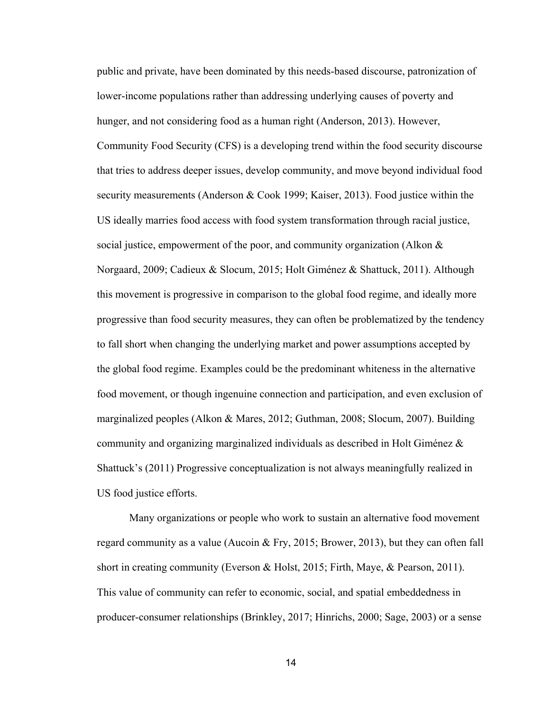public and private, have been dominated by this needs-based discourse, patronization of lower-income populations rather than addressing underlying causes of poverty and hunger, and not considering food as a human right (Anderson, 2013). However, Community Food Security (CFS) is a developing trend within the food security discourse that tries to address deeper issues, develop community, and move beyond individual food security measurements (Anderson & Cook 1999; Kaiser, 2013). Food justice within the US ideally marries food access with food system transformation through racial justice, social justice, empowerment of the poor, and community organization (Alkon & Norgaard, 2009; Cadieux & Slocum, 2015; Holt Giménez & Shattuck, 2011). Although this movement is progressive in comparison to the global food regime, and ideally more progressive than food security measures, they can often be problematized by the tendency to fall short when changing the underlying market and power assumptions accepted by the global food regime. Examples could be the predominant whiteness in the alternative food movement, or though ingenuine connection and participation, and even exclusion of marginalized peoples (Alkon & Mares, 2012; Guthman, 2008; Slocum, 2007). Building community and organizing marginalized individuals as described in Holt Giménez & Shattuck's (2011) Progressive conceptualization is not always meaningfully realized in US food justice efforts.

Many organizations or people who work to sustain an alternative food movement regard community as a value (Aucoin & Fry, 2015; Brower, 2013), but they can often fall short in creating community (Everson & Holst, 2015; Firth, Maye, & Pearson, 2011). This value of community can refer to economic, social, and spatial embeddedness in producer-consumer relationships (Brinkley, 2017; Hinrichs, 2000; Sage, 2003) or a sense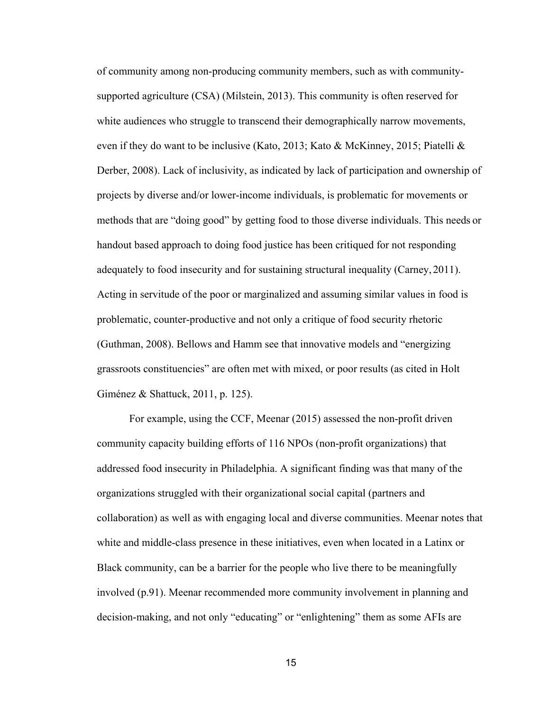of community among non-producing community members, such as with communitysupported agriculture (CSA) (Milstein, 2013). This community is often reserved for white audiences who struggle to transcend their demographically narrow movements, even if they do want to be inclusive (Kato, 2013; Kato & McKinney, 2015; Piatelli & Derber, 2008). Lack of inclusivity, as indicated by lack of participation and ownership of projects by diverse and/or lower-income individuals, is problematic for movements or methods that are "doing good" by getting food to those diverse individuals. This needs or handout based approach to doing food justice has been critiqued for not responding adequately to food insecurity and for sustaining structural inequality (Carney, 2011). Acting in servitude of the poor or marginalized and assuming similar values in food is problematic, counter-productive and not only a critique of food security rhetoric (Guthman, 2008). Bellows and Hamm see that innovative models and "energizing grassroots constituencies" are often met with mixed, or poor results (as cited in Holt Giménez & Shattuck, 2011, p. 125).

For example, using the CCF, Meenar (2015) assessed the non-profit driven community capacity building efforts of 116 NPOs (non-profit organizations) that addressed food insecurity in Philadelphia. A significant finding was that many of the organizations struggled with their organizational social capital (partners and collaboration) as well as with engaging local and diverse communities. Meenar notes that white and middle-class presence in these initiatives, even when located in a Latinx or Black community, can be a barrier for the people who live there to be meaningfully involved (p.91). Meenar recommended more community involvement in planning and decision-making, and not only "educating" or "enlightening" them as some AFIs are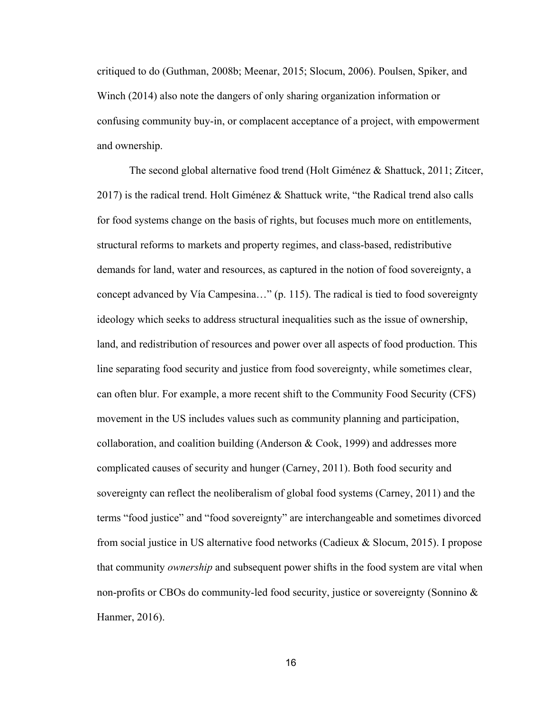critiqued to do (Guthman, 2008b; Meenar, 2015; Slocum, 2006). Poulsen, Spiker, and Winch (2014) also note the dangers of only sharing organization information or confusing community buy-in, or complacent acceptance of a project, with empowerment and ownership.

The second global alternative food trend (Holt Giménez & Shattuck, 2011; Zitcer, 2017) is the radical trend. Holt Giménez & Shattuck write, "the Radical trend also calls for food systems change on the basis of rights, but focuses much more on entitlements, structural reforms to markets and property regimes, and class-based, redistributive demands for land, water and resources, as captured in the notion of food sovereignty, a concept advanced by Vía Campesina…" (p. 115). The radical is tied to food sovereignty ideology which seeks to address structural inequalities such as the issue of ownership, land, and redistribution of resources and power over all aspects of food production. This line separating food security and justice from food sovereignty, while sometimes clear, can often blur. For example, a more recent shift to the Community Food Security (CFS) movement in the US includes values such as community planning and participation, collaboration, and coalition building (Anderson  $\&$  Cook, 1999) and addresses more complicated causes of security and hunger (Carney, 2011). Both food security and sovereignty can reflect the neoliberalism of global food systems (Carney, 2011) and the terms "food justice" and "food sovereignty" are interchangeable and sometimes divorced from social justice in US alternative food networks (Cadieux & Slocum, 2015). I propose that community *ownership* and subsequent power shifts in the food system are vital when non-profits or CBOs do community-led food security, justice or sovereignty (Sonnino & Hanmer, 2016).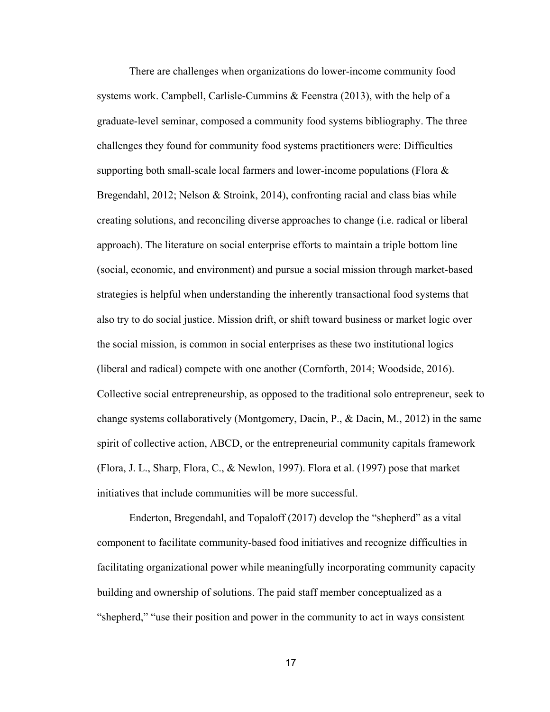There are challenges when organizations do lower-income community food systems work. Campbell, Carlisle-Cummins & Feenstra (2013), with the help of a graduate-level seminar, composed a community food systems bibliography. The three challenges they found for community food systems practitioners were: Difficulties supporting both small-scale local farmers and lower-income populations (Flora  $\&$ Bregendahl, 2012; Nelson & Stroink, 2014), confronting racial and class bias while creating solutions, and reconciling diverse approaches to change (i.e. radical or liberal approach). The literature on social enterprise efforts to maintain a triple bottom line (social, economic, and environment) and pursue a social mission through market-based strategies is helpful when understanding the inherently transactional food systems that also try to do social justice. Mission drift, or shift toward business or market logic over the social mission, is common in social enterprises as these two institutional logics (liberal and radical) compete with one another (Cornforth, 2014; Woodside, 2016). Collective social entrepreneurship, as opposed to the traditional solo entrepreneur, seek to change systems collaboratively (Montgomery, Dacin, P., & Dacin, M., 2012) in the same spirit of collective action, ABCD, or the entrepreneurial community capitals framework (Flora, J. L., Sharp, Flora, C., & Newlon, 1997). Flora et al. (1997) pose that market initiatives that include communities will be more successful.

Enderton, Bregendahl, and Topaloff (2017) develop the "shepherd" as a vital component to facilitate community-based food initiatives and recognize difficulties in facilitating organizational power while meaningfully incorporating community capacity building and ownership of solutions. The paid staff member conceptualized as a "shepherd," "use their position and power in the community to act in ways consistent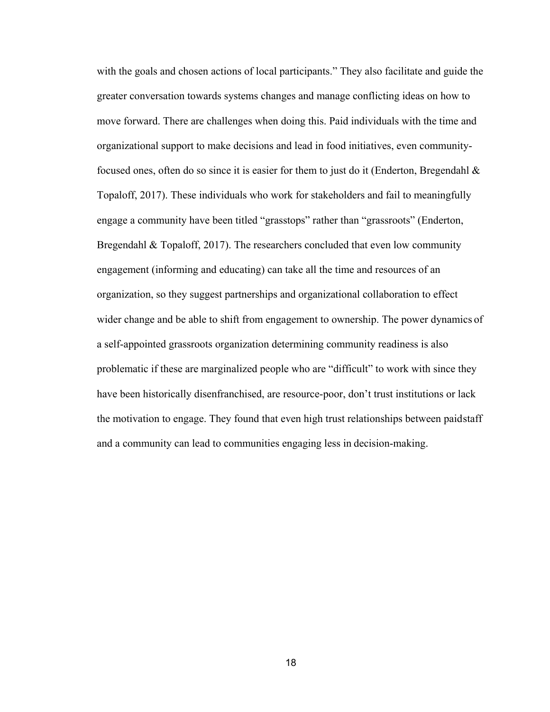with the goals and chosen actions of local participants." They also facilitate and guide the greater conversation towards systems changes and manage conflicting ideas on how to move forward. There are challenges when doing this. Paid individuals with the time and organizational support to make decisions and lead in food initiatives, even communityfocused ones, often do so since it is easier for them to just do it (Enderton, Bregendahl  $\&$ Topaloff, 2017). These individuals who work for stakeholders and fail to meaningfully engage a community have been titled "grasstops" rather than "grassroots" (Enderton, Bregendahl & Topaloff, 2017). The researchers concluded that even low community engagement (informing and educating) can take all the time and resources of an organization, so they suggest partnerships and organizational collaboration to effect wider change and be able to shift from engagement to ownership. The power dynamics of a self-appointed grassroots organization determining community readiness is also problematic if these are marginalized people who are "difficult" to work with since they have been historically disenfranchised, are resource-poor, don't trust institutions or lack the motivation to engage. They found that even high trust relationships between paidstaff and a community can lead to communities engaging less in decision-making.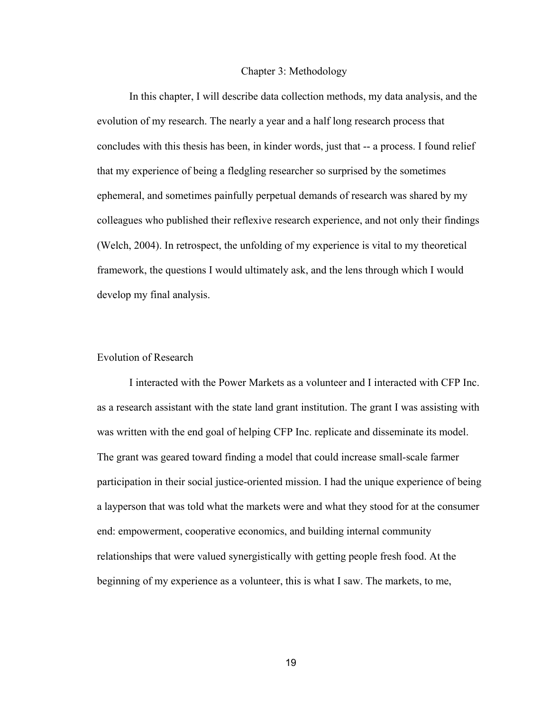#### Chapter 3: Methodology

In this chapter, I will describe data collection methods, my data analysis, and the evolution of my research. The nearly a year and a half long research process that concludes with this thesis has been, in kinder words, just that -- a process. I found relief that my experience of being a fledgling researcher so surprised by the sometimes ephemeral, and sometimes painfully perpetual demands of research was shared by my colleagues who published their reflexive research experience, and not only their findings (Welch, 2004). In retrospect, the unfolding of my experience is vital to my theoretical framework, the questions I would ultimately ask, and the lens through which I would develop my final analysis.

#### <span id="page-25-0"></span>Evolution of Research

I interacted with the Power Markets as a volunteer and I interacted with CFP Inc. as a research assistant with the state land grant institution. The grant I was assisting with was written with the end goal of helping CFP Inc. replicate and disseminate its model. The grant was geared toward finding a model that could increase small-scale farmer participation in their social justice-oriented mission. I had the unique experience of being a layperson that was told what the markets were and what they stood for at the consumer end: empowerment, cooperative economics, and building internal community relationships that were valued synergistically with getting people fresh food. At the beginning of my experience as a volunteer, this is what I saw. The markets, to me,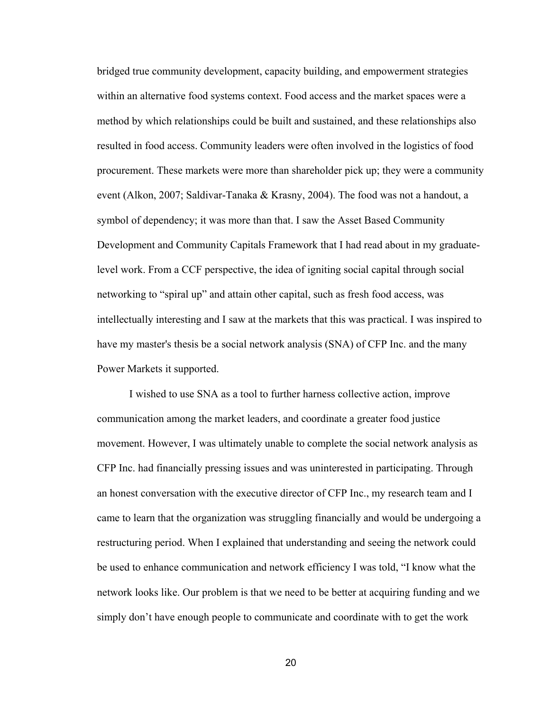bridged true community development, capacity building, and empowerment strategies within an alternative food systems context. Food access and the market spaces were a method by which relationships could be built and sustained, and these relationships also resulted in food access. Community leaders were often involved in the logistics of food procurement. These markets were more than shareholder pick up; they were a community event (Alkon, 2007; Saldivar-Tanaka & Krasny, 2004). The food was not a handout, a symbol of dependency; it was more than that. I saw the Asset Based Community Development and Community Capitals Framework that I had read about in my graduatelevel work. From a CCF perspective, the idea of igniting social capital through social networking to "spiral up" and attain other capital, such as fresh food access, was intellectually interesting and I saw at the markets that this was practical. I was inspired to have my master's thesis be a social network analysis (SNA) of CFP Inc. and the many Power Markets it supported.

I wished to use SNA as a tool to further harness collective action, improve communication among the market leaders, and coordinate a greater food justice movement. However, I was ultimately unable to complete the social network analysis as CFP Inc. had financially pressing issues and was uninterested in participating. Through an honest conversation with the executive director of CFP Inc., my research team and I came to learn that the organization was struggling financially and would be undergoing a restructuring period. When I explained that understanding and seeing the network could be used to enhance communication and network efficiency I was told, "I know what the network looks like. Our problem is that we need to be better at acquiring funding and we simply don't have enough people to communicate and coordinate with to get the work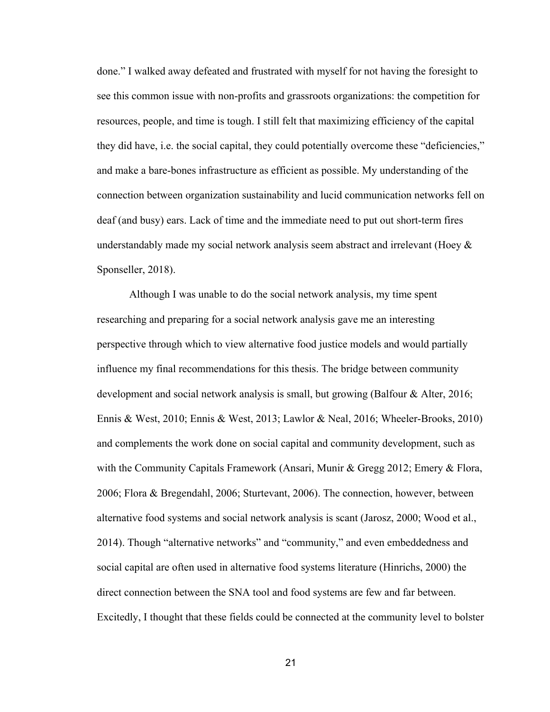done." I walked away defeated and frustrated with myself for not having the foresight to see this common issue with non-profits and grassroots organizations: the competition for resources, people, and time is tough. I still felt that maximizing efficiency of the capital they did have, i.e. the social capital, they could potentially overcome these "deficiencies," and make a bare-bones infrastructure as efficient as possible. My understanding of the connection between organization sustainability and lucid communication networks fell on deaf (and busy) ears. Lack of time and the immediate need to put out short-term fires understandably made my social network analysis seem abstract and irrelevant (Hoey & Sponseller, 2018).

Although I was unable to do the social network analysis, my time spent researching and preparing for a social network analysis gave me an interesting perspective through which to view alternative food justice models and would partially influence my final recommendations for this thesis. The bridge between community development and social network analysis is small, but growing (Balfour & Alter, 2016; Ennis & West, 2010; Ennis & West, 2013; Lawlor & Neal, 2016; Wheeler-Brooks, 2010) and complements the work done on social capital and community development, such as with the Community Capitals Framework (Ansari, Munir & Gregg 2012; Emery & Flora, 2006; Flora & Bregendahl, 2006; Sturtevant, 2006). The connection, however, between alternative food systems and social network analysis is scant (Jarosz, 2000; Wood et al., 2014). Though "alternative networks" and "community," and even embeddedness and social capital are often used in alternative food systems literature (Hinrichs, 2000) the direct connection between the SNA tool and food systems are few and far between. Excitedly, I thought that these fields could be connected at the community level to bolster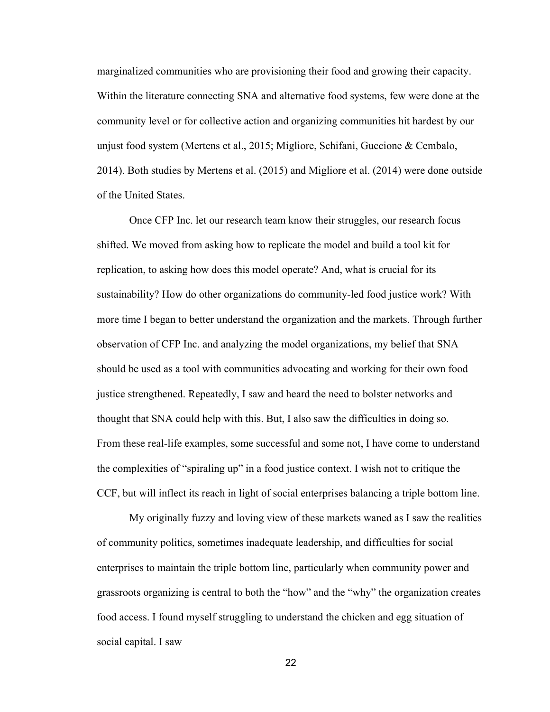marginalized communities who are provisioning their food and growing their capacity. Within the literature connecting SNA and alternative food systems, few were done at the community level or for collective action and organizing communities hit hardest by our unjust food system (Mertens et al., 2015; Migliore, Schifani, Guccione & Cembalo, 2014). Both studies by Mertens et al. (2015) and Migliore et al. (2014) were done outside of the United States.

Once CFP Inc. let our research team know their struggles, our research focus shifted. We moved from asking how to replicate the model and build a tool kit for replication, to asking how does this model operate? And, what is crucial for its sustainability? How do other organizations do community-led food justice work? With more time I began to better understand the organization and the markets. Through further observation of CFP Inc. and analyzing the model organizations, my belief that SNA should be used as a tool with communities advocating and working for their own food justice strengthened. Repeatedly, I saw and heard the need to bolster networks and thought that SNA could help with this. But, I also saw the difficulties in doing so. From these real-life examples, some successful and some not, I have come to understand the complexities of "spiraling up" in a food justice context. I wish not to critique the CCF, but will inflect its reach in light of social enterprises balancing a triple bottom line.

My originally fuzzy and loving view of these markets waned as I saw the realities of community politics, sometimes inadequate leadership, and difficulties for social enterprises to maintain the triple bottom line, particularly when community power and grassroots organizing is central to both the "how" and the "why" the organization creates food access. I found myself struggling to understand the chicken and egg situation of social capital. I saw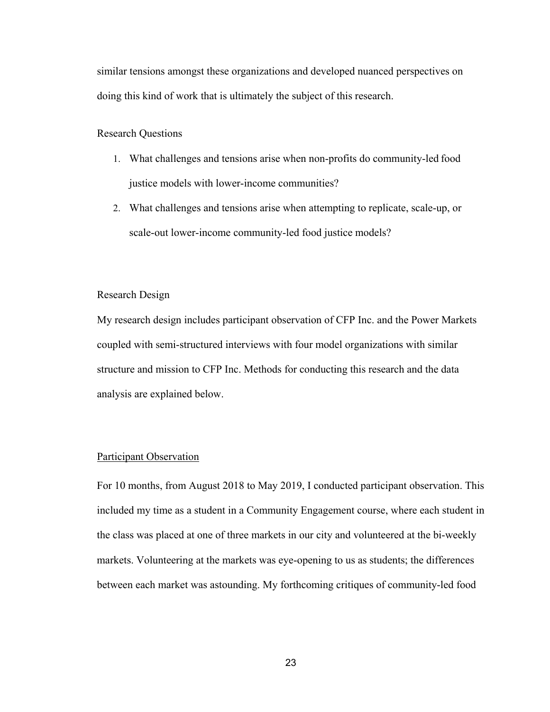similar tensions amongst these organizations and developed nuanced perspectives on doing this kind of work that is ultimately the subject of this research.

<span id="page-29-0"></span>Research Questions

- 1. What challenges and tensions arise when non-profits do community-led food justice models with lower-income communities?
- 2. What challenges and tensions arise when attempting to replicate, scale-up, or scale-out lower-income community-led food justice models?

<span id="page-29-1"></span>Research Design

My research design includes participant observation of CFP Inc. and the Power Markets coupled with semi-structured interviews with four model organizations with similar structure and mission to CFP Inc. Methods for conducting this research and the data analysis are explained below.

#### <span id="page-29-2"></span>Participant Observation

For 10 months, from August 2018 to May 2019, I conducted participant observation. This included my time as a student in a Community Engagement course, where each student in the class was placed at one of three markets in our city and volunteered at the bi-weekly markets. Volunteering at the markets was eye-opening to us as students; the differences between each market was astounding. My forthcoming critiques of community-led food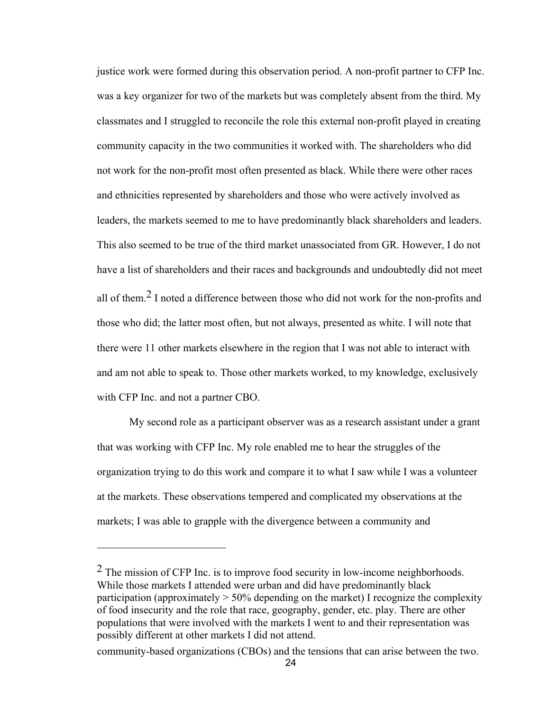justice work were formed during this observation period. A non-profit partner to CFP Inc. was a key organizer for two of the markets but was completely absent from the third. My classmates and I struggled to reconcile the role this external non-profit played in creating community capacity in the two communities it worked with. The shareholders who did not work for the non-profit most often presented as black. While there were other races and ethnicities represented by shareholders and those who were actively involved as leaders, the markets seemed to me to have predominantly black shareholders and leaders. This also seemed to be true of the third market unassociated from GR. However, I do not have a list of shareholders and their races and backgrounds and undoubtedly did not meet all of them.2 I noted a difference between those who did not work for the non-profits and those who did; the latter most often, but not always, presented as white. I will note that there were 11 other markets elsewhere in the region that I was not able to interact with and am not able to speak to. Those other markets worked, to my knowledge, exclusively with CFP Inc. and not a partner CBO.

My second role as a participant observer was as a research assistant under a grant that was working with CFP Inc. My role enabled me to hear the struggles of the organization trying to do this work and compare it to what I saw while I was a volunteer at the markets. These observations tempered and complicated my observations at the markets; I was able to grapple with the divergence between a community and

 $<sup>2</sup>$  The mission of CFP Inc. is to improve food security in low-income neighborhoods.</sup> While those markets I attended were urban and did have predominantly black participation (approximately  $> 50\%$  depending on the market) I recognize the complexity of food insecurity and the role that race, geography, gender, etc. play. There are other populations that were involved with the markets I went to and their representation was possibly different at other markets I did not attend.

community-based organizations (CBOs) and the tensions that can arise between the two.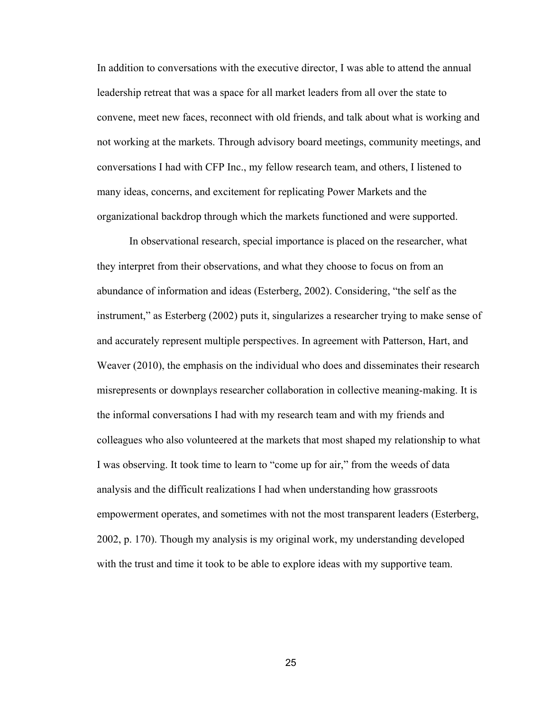In addition to conversations with the executive director, I was able to attend the annual leadership retreat that was a space for all market leaders from all over the state to convene, meet new faces, reconnect with old friends, and talk about what is working and not working at the markets. Through advisory board meetings, community meetings, and conversations I had with CFP Inc., my fellow research team, and others, I listened to many ideas, concerns, and excitement for replicating Power Markets and the organizational backdrop through which the markets functioned and were supported.

In observational research, special importance is placed on the researcher, what they interpret from their observations, and what they choose to focus on from an abundance of information and ideas (Esterberg, 2002). Considering, "the self as the instrument," as Esterberg (2002) puts it, singularizes a researcher trying to make sense of and accurately represent multiple perspectives. In agreement with Patterson, Hart, and Weaver (2010), the emphasis on the individual who does and disseminates their research misrepresents or downplays researcher collaboration in collective meaning-making. It is the informal conversations I had with my research team and with my friends and colleagues who also volunteered at the markets that most shaped my relationship to what I was observing. It took time to learn to "come up for air," from the weeds of data analysis and the difficult realizations I had when understanding how grassroots empowerment operates, and sometimes with not the most transparent leaders (Esterberg, 2002, p. 170). Though my analysis is my original work, my understanding developed with the trust and time it took to be able to explore ideas with my supportive team.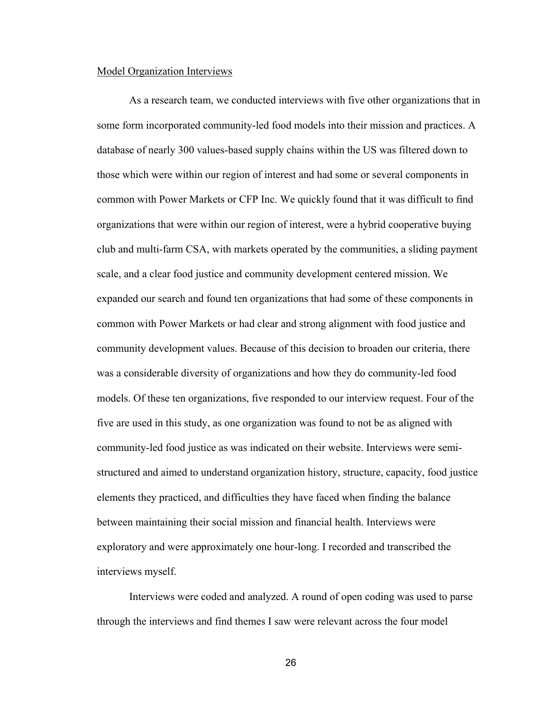#### <span id="page-32-0"></span>Model Organization Interviews

As a research team, we conducted interviews with five other organizations that in some form incorporated community-led food models into their mission and practices. A database of nearly 300 values-based supply chains within the US was filtered down to those which were within our region of interest and had some or several components in common with Power Markets or CFP Inc. We quickly found that it was difficult to find organizations that were within our region of interest, were a hybrid cooperative buying club and multi-farm CSA, with markets operated by the communities, a sliding payment scale, and a clear food justice and community development centered mission. We expanded our search and found ten organizations that had some of these components in common with Power Markets or had clear and strong alignment with food justice and community development values. Because of this decision to broaden our criteria, there was a considerable diversity of organizations and how they do community-led food models. Of these ten organizations, five responded to our interview request. Four of the five are used in this study, as one organization was found to not be as aligned with community-led food justice as was indicated on their website. Interviews were semistructured and aimed to understand organization history, structure, capacity, food justice elements they practiced, and difficulties they have faced when finding the balance between maintaining their social mission and financial health. Interviews were exploratory and were approximately one hour-long. I recorded and transcribed the interviews myself.

Interviews were coded and analyzed. A round of open coding was used to parse through the interviews and find themes I saw were relevant across the four model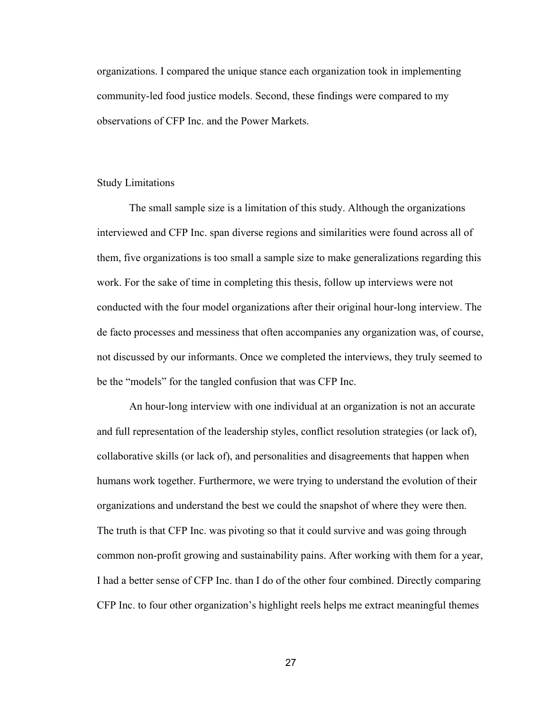organizations. I compared the unique stance each organization took in implementing community-led food justice models. Second, these findings were compared to my observations of CFP Inc. and the Power Markets.

#### <span id="page-33-0"></span>Study Limitations

The small sample size is a limitation of this study. Although the organizations interviewed and CFP Inc. span diverse regions and similarities were found across all of them, five organizations is too small a sample size to make generalizations regarding this work. For the sake of time in completing this thesis, follow up interviews were not conducted with the four model organizations after their original hour-long interview. The de facto processes and messiness that often accompanies any organization was, of course, not discussed by our informants. Once we completed the interviews, they truly seemed to be the "models" for the tangled confusion that was CFP Inc.

An hour-long interview with one individual at an organization is not an accurate and full representation of the leadership styles, conflict resolution strategies (or lack of), collaborative skills (or lack of), and personalities and disagreements that happen when humans work together. Furthermore, we were trying to understand the evolution of their organizations and understand the best we could the snapshot of where they were then. The truth is that CFP Inc. was pivoting so that it could survive and was going through common non-profit growing and sustainability pains. After working with them for a year, I had a better sense of CFP Inc. than I do of the other four combined. Directly comparing CFP Inc. to four other organization's highlight reels helps me extract meaningful themes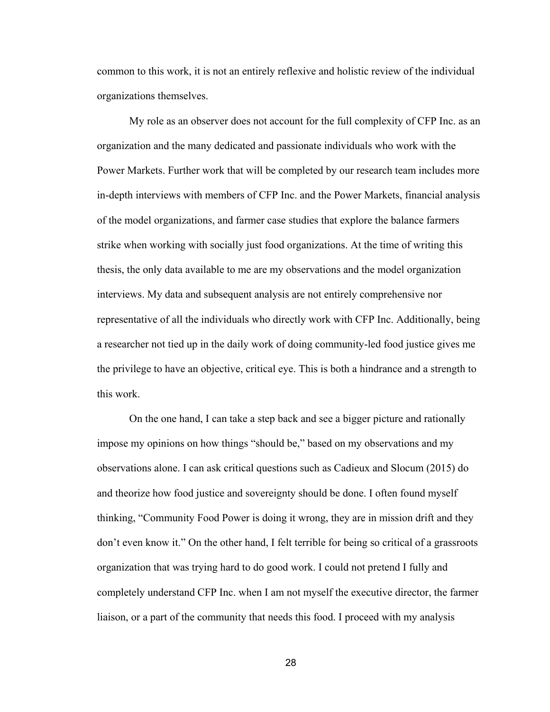common to this work, it is not an entirely reflexive and holistic review of the individual organizations themselves.

My role as an observer does not account for the full complexity of CFP Inc. as an organization and the many dedicated and passionate individuals who work with the Power Markets. Further work that will be completed by our research team includes more in-depth interviews with members of CFP Inc. and the Power Markets, financial analysis of the model organizations, and farmer case studies that explore the balance farmers strike when working with socially just food organizations. At the time of writing this thesis, the only data available to me are my observations and the model organization interviews. My data and subsequent analysis are not entirely comprehensive nor representative of all the individuals who directly work with CFP Inc. Additionally, being a researcher not tied up in the daily work of doing community-led food justice gives me the privilege to have an objective, critical eye. This is both a hindrance and a strength to this work.

On the one hand, I can take a step back and see a bigger picture and rationally impose my opinions on how things "should be," based on my observations and my observations alone. I can ask critical questions such as Cadieux and Slocum (2015) do and theorize how food justice and sovereignty should be done. I often found myself thinking, "Community Food Power is doing it wrong, they are in mission drift and they don't even know it." On the other hand, I felt terrible for being so critical of a grassroots organization that was trying hard to do good work. I could not pretend I fully and completely understand CFP Inc. when I am not myself the executive director, the farmer liaison, or a part of the community that needs this food. I proceed with my analysis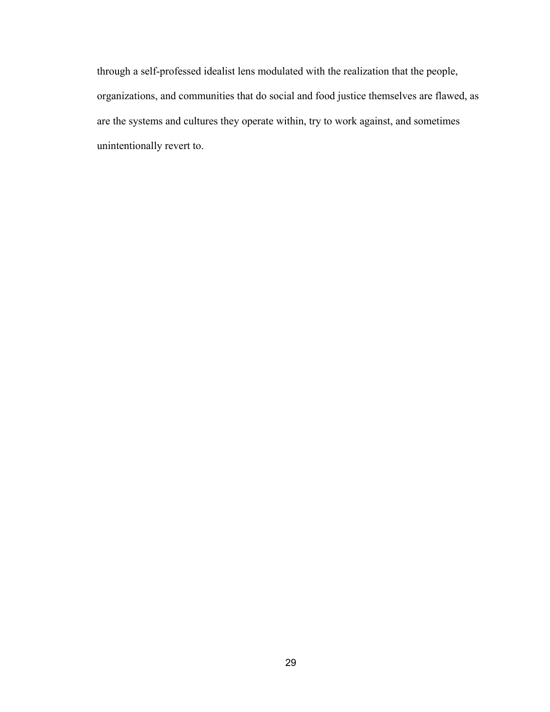through a self-professed idealist lens modulated with the realization that the people, organizations, and communities that do social and food justice themselves are flawed, as are the systems and cultures they operate within, try to work against, and sometimes unintentionally revert to.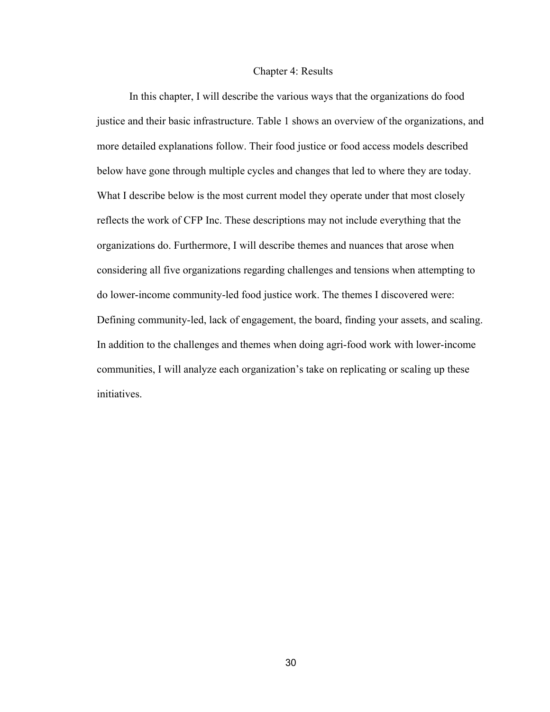#### Chapter 4: Results

In this chapter, I will describe the various ways that the organizations do food justice and their basic infrastructure. Table 1 shows an overview of the organizations, and more detailed explanations follow. Their food justice or food access models described below have gone through multiple cycles and changes that led to where they are today. What I describe below is the most current model they operate under that most closely reflects the work of CFP Inc. These descriptions may not include everything that the organizations do. Furthermore, I will describe themes and nuances that arose when considering all five organizations regarding challenges and tensions when attempting to do lower-income community-led food justice work. The themes I discovered were: Defining community-led, lack of engagement, the board, finding your assets, and scaling. In addition to the challenges and themes when doing agri-food work with lower-income communities, I will analyze each organization's take on replicating or scaling up these initiatives.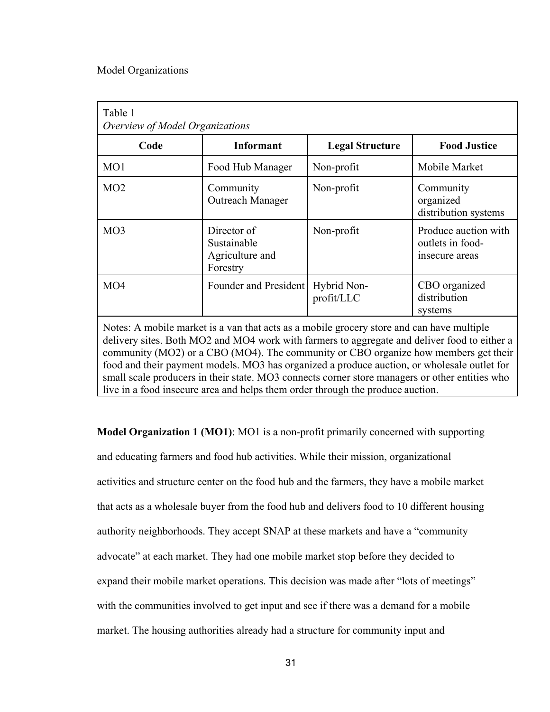### Model Organizations

| Table 1<br>Overview of Model Organizations |                                                                                           |                           |                                                            |
|--------------------------------------------|-------------------------------------------------------------------------------------------|---------------------------|------------------------------------------------------------|
| Code                                       | <b>Informant</b>                                                                          | <b>Legal Structure</b>    | <b>Food Justice</b>                                        |
| MO <sub>1</sub>                            | Food Hub Manager                                                                          | Non-profit                | Mobile Market                                              |
| MO2                                        | Community<br>Outreach Manager                                                             | Non-profit                | Community<br>organized<br>distribution systems             |
| MO3                                        | Director of<br>Sustainable<br>Agriculture and<br>Forestry                                 | Non-profit                | Produce auction with<br>outlets in food-<br>insecure areas |
| MO4                                        | Founder and President                                                                     | Hybrid Non-<br>profit/LLC | CBO organized<br>distribution<br>systems                   |
|                                            | Notes: A mobile market is a van that acts as a mobile grocery store and can have multiple |                           |                                                            |

Notes: A mobile market is a van that acts as a mobile grocery store and can have multiple delivery sites. Both MO2 and MO4 work with farmers to aggregate and deliver food to either a community (MO2) or a CBO (MO4). The community or CBO organize how members get their food and their payment models. MO3 has organized a produce auction, or wholesale outlet for small scale producers in their state. MO3 connects corner store managers or other entities who live in a food insecure area and helps them order through the produce auction.

**Model Organization 1 (MO1)**: MO1 is a non-profit primarily concerned with supporting and educating farmers and food hub activities. While their mission, organizational activities and structure center on the food hub and the farmers, they have a mobile market that acts as a wholesale buyer from the food hub and delivers food to 10 different housing authority neighborhoods. They accept SNAP at these markets and have a "community advocate" at each market. They had one mobile market stop before they decided to expand their mobile market operations. This decision was made after "lots of meetings" with the communities involved to get input and see if there was a demand for a mobile market. The housing authorities already had a structure for community input and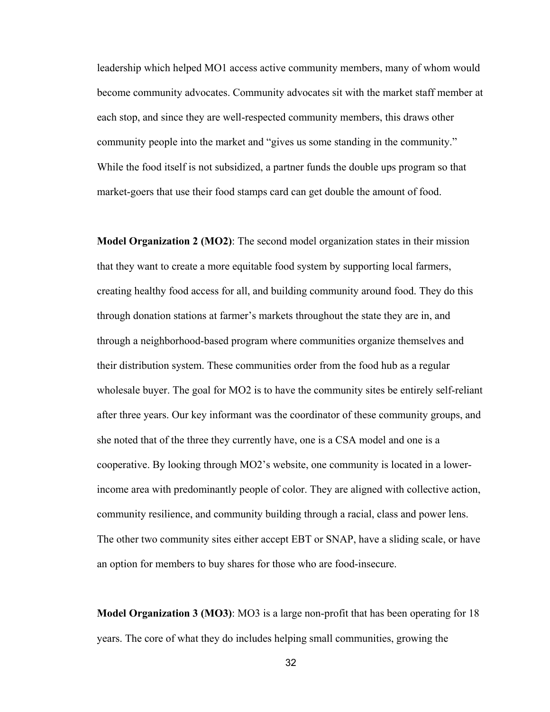leadership which helped MO1 access active community members, many of whom would become community advocates. Community advocates sit with the market staff member at each stop, and since they are well-respected community members, this draws other community people into the market and "gives us some standing in the community." While the food itself is not subsidized, a partner funds the double ups program so that market-goers that use their food stamps card can get double the amount of food.

**Model Organization 2 (MO2)**: The second model organization states in their mission that they want to create a more equitable food system by supporting local farmers, creating healthy food access for all, and building community around food. They do this through donation stations at farmer's markets throughout the state they are in, and through a neighborhood-based program where communities organize themselves and their distribution system. These communities order from the food hub as a regular wholesale buyer. The goal for MO2 is to have the community sites be entirely self-reliant after three years. Our key informant was the coordinator of these community groups, and she noted that of the three they currently have, one is a CSA model and one is a cooperative. By looking through MO2's website, one community is located in a lowerincome area with predominantly people of color. They are aligned with collective action, community resilience, and community building through a racial, class and power lens. The other two community sites either accept EBT or SNAP, have a sliding scale, or have an option for members to buy shares for those who are food-insecure.

**Model Organization 3 (MO3)**: MO3 is a large non-profit that has been operating for 18 years. The core of what they do includes helping small communities, growing the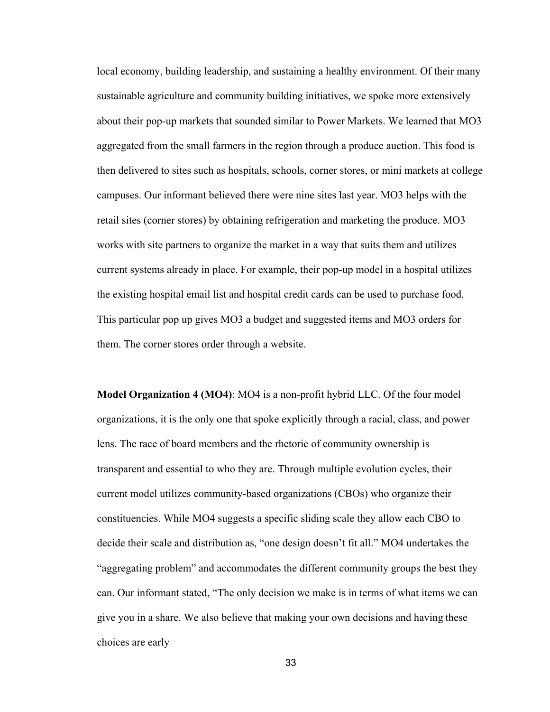local economy, building leadership, and sustaining a healthy environment. Of their many sustainable agriculture and community building initiatives, we spoke more extensively about their pop-up markets that sounded similar to Power Markets. We learned that MO3 aggregated from the small farmers in the region through a produce auction. This food is then delivered to sites such as hospitals, schools, corner stores, or mini markets at college campuses. Our informant believed there were nine sites last year. MO3 helps with the retail sites (corner stores) by obtaining refrigeration and marketing the produce. MO3 works with site partners to organize the market in a way that suits them and utilizes current systems already in place. For example, their pop-up model in a hospital utilizes the existing hospital email list and hospital credit cards can be used to purchase food. This particular pop up gives MO3 a budget and suggested items and MO3 orders for them. The corner stores order through a website.

**Model Organization 4 (MO4)**: MO4 is a non-profit hybrid LLC. Of the four model organizations, it is the only one that spoke explicitly through a racial, class, and power lens. The race of board members and the rhetoric of community ownership is transparent and essential to who they are. Through multiple evolution cycles, their current model utilizes community-based organizations (CBOs) who organize their constituencies. While MO4 suggests a specific sliding scale they allow each CBO to decide their scale and distribution as, "one design doesn't fit all." MO4 undertakes the "aggregating problem" and accommodates the different community groups the best they can. Our informant stated, "The only decision we make is in terms of what items we can give you in a share. We also believe that making your own decisions and having these choices are early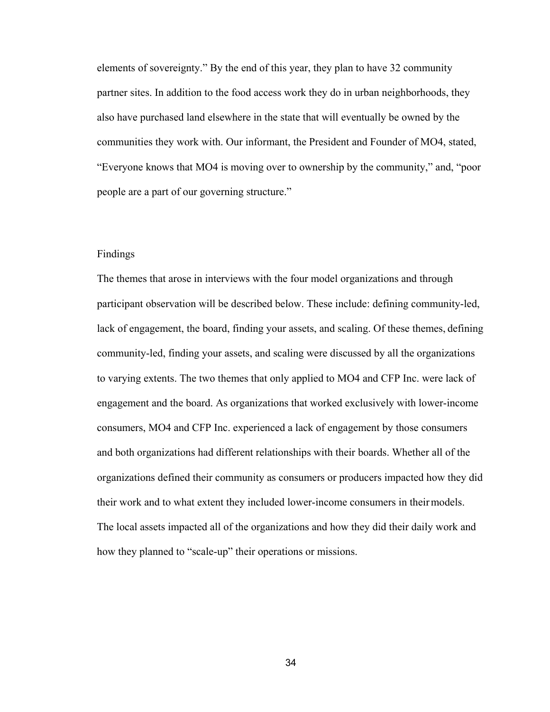elements of sovereignty." By the end of this year, they plan to have 32 community partner sites. In addition to the food access work they do in urban neighborhoods, they also have purchased land elsewhere in the state that will eventually be owned by the communities they work with. Our informant, the President and Founder of MO4, stated, "Everyone knows that MO4 is moving over to ownership by the community," and, "poor people are a part of our governing structure."

### Findings

The themes that arose in interviews with the four model organizations and through participant observation will be described below. These include: defining community-led, lack of engagement, the board, finding your assets, and scaling. Of these themes, defining community-led, finding your assets, and scaling were discussed by all the organizations to varying extents. The two themes that only applied to MO4 and CFP Inc. were lack of engagement and the board. As organizations that worked exclusively with lower-income consumers, MO4 and CFP Inc. experienced a lack of engagement by those consumers and both organizations had different relationships with their boards. Whether all of the organizations defined their community as consumers or producers impacted how they did their work and to what extent they included lower-income consumers in theirmodels. The local assets impacted all of the organizations and how they did their daily work and how they planned to "scale-up" their operations or missions.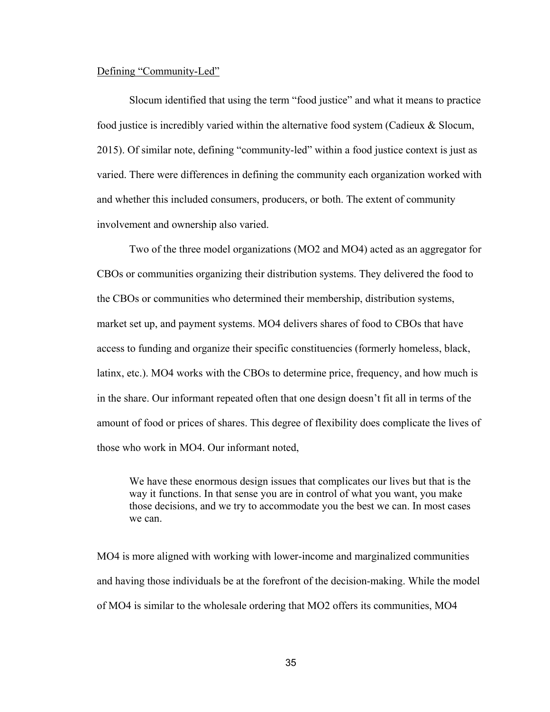# Defining "Community-Led"

Slocum identified that using the term "food justice" and what it means to practice food justice is incredibly varied within the alternative food system (Cadieux & Slocum, 2015). Of similar note, defining "community-led" within a food justice context is just as varied. There were differences in defining the community each organization worked with and whether this included consumers, producers, or both. The extent of community involvement and ownership also varied.

Two of the three model organizations (MO2 and MO4) acted as an aggregator for CBOs or communities organizing their distribution systems. They delivered the food to the CBOs or communities who determined their membership, distribution systems, market set up, and payment systems. MO4 delivers shares of food to CBOs that have access to funding and organize their specific constituencies (formerly homeless, black, latinx, etc.). MO4 works with the CBOs to determine price, frequency, and how much is in the share. Our informant repeated often that one design doesn't fit all in terms of the amount of food or prices of shares. This degree of flexibility does complicate the lives of those who work in MO4. Our informant noted,

We have these enormous design issues that complicates our lives but that is the way it functions. In that sense you are in control of what you want, you make those decisions, and we try to accommodate you the best we can. In most cases we can.

MO4 is more aligned with working with lower-income and marginalized communities and having those individuals be at the forefront of the decision-making. While the model of MO4 is similar to the wholesale ordering that MO2 offers its communities, MO4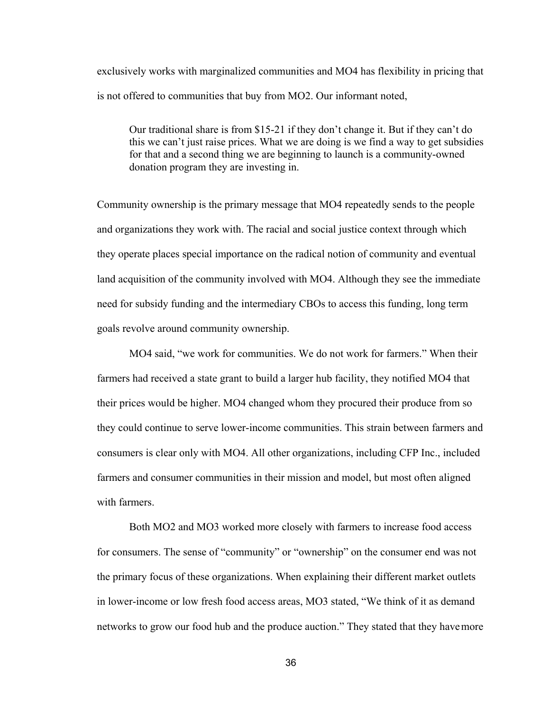exclusively works with marginalized communities and MO4 has flexibility in pricing that is not offered to communities that buy from MO2. Our informant noted,

Our traditional share is from \$15-21 if they don't change it. But if they can't do this we can't just raise prices. What we are doing is we find a way to get subsidies for that and a second thing we are beginning to launch is a community-owned donation program they are investing in.

Community ownership is the primary message that MO4 repeatedly sends to the people and organizations they work with. The racial and social justice context through which they operate places special importance on the radical notion of community and eventual land acquisition of the community involved with MO4. Although they see the immediate need for subsidy funding and the intermediary CBOs to access this funding, long term goals revolve around community ownership.

MO4 said, "we work for communities. We do not work for farmers." When their farmers had received a state grant to build a larger hub facility, they notified MO4 that their prices would be higher. MO4 changed whom they procured their produce from so they could continue to serve lower-income communities. This strain between farmers and consumers is clear only with MO4. All other organizations, including CFP Inc., included farmers and consumer communities in their mission and model, but most often aligned with farmers.

Both MO2 and MO3 worked more closely with farmers to increase food access for consumers. The sense of "community" or "ownership" on the consumer end was not the primary focus of these organizations. When explaining their different market outlets in lower-income or low fresh food access areas, MO3 stated, "We think of it as demand networks to grow our food hub and the produce auction." They stated that they havemore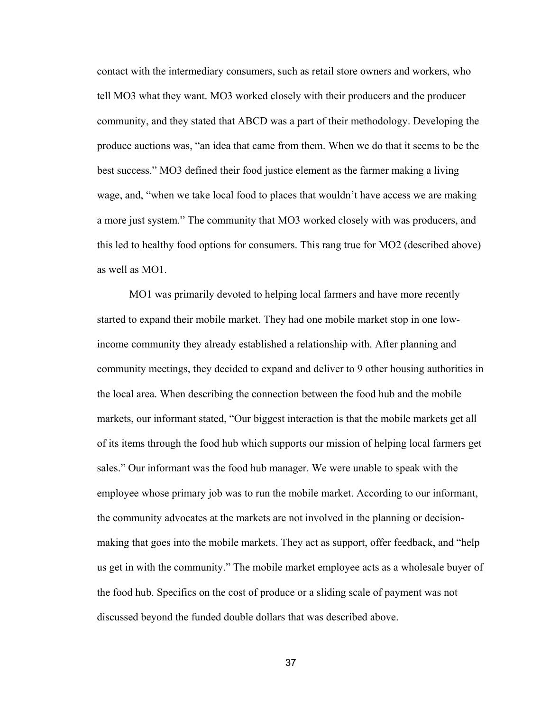contact with the intermediary consumers, such as retail store owners and workers, who tell MO3 what they want. MO3 worked closely with their producers and the producer community, and they stated that ABCD was a part of their methodology. Developing the produce auctions was, "an idea that came from them. When we do that it seems to be the best success." MO3 defined their food justice element as the farmer making a living wage, and, "when we take local food to places that wouldn't have access we are making a more just system." The community that MO3 worked closely with was producers, and this led to healthy food options for consumers. This rang true for MO2 (described above) as well as MO1.

MO1 was primarily devoted to helping local farmers and have more recently started to expand their mobile market. They had one mobile market stop in one lowincome community they already established a relationship with. After planning and community meetings, they decided to expand and deliver to 9 other housing authorities in the local area. When describing the connection between the food hub and the mobile markets, our informant stated, "Our biggest interaction is that the mobile markets get all of its items through the food hub which supports our mission of helping local farmers get sales." Our informant was the food hub manager. We were unable to speak with the employee whose primary job was to run the mobile market. According to our informant, the community advocates at the markets are not involved in the planning or decisionmaking that goes into the mobile markets. They act as support, offer feedback, and "help us get in with the community." The mobile market employee acts as a wholesale buyer of the food hub. Specifics on the cost of produce or a sliding scale of payment was not discussed beyond the funded double dollars that was described above.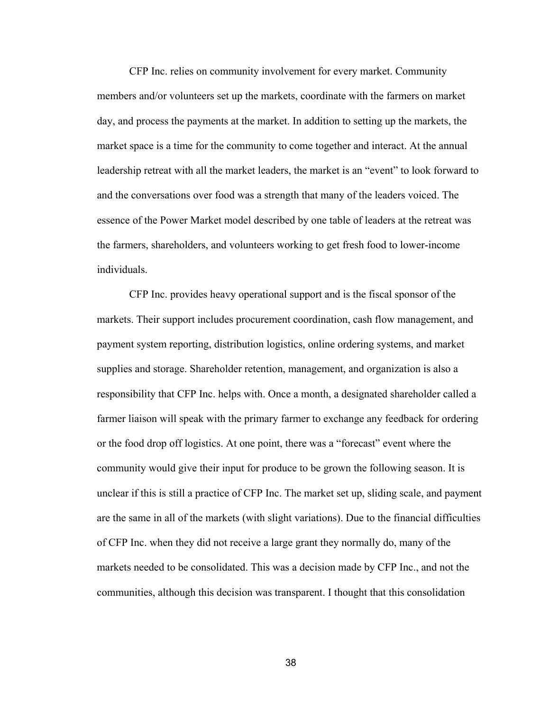CFP Inc. relies on community involvement for every market. Community members and/or volunteers set up the markets, coordinate with the farmers on market day, and process the payments at the market. In addition to setting up the markets, the market space is a time for the community to come together and interact. At the annual leadership retreat with all the market leaders, the market is an "event" to look forward to and the conversations over food was a strength that many of the leaders voiced. The essence of the Power Market model described by one table of leaders at the retreat was the farmers, shareholders, and volunteers working to get fresh food to lower-income individuals.

CFP Inc. provides heavy operational support and is the fiscal sponsor of the markets. Their support includes procurement coordination, cash flow management, and payment system reporting, distribution logistics, online ordering systems, and market supplies and storage. Shareholder retention, management, and organization is also a responsibility that CFP Inc. helps with. Once a month, a designated shareholder called a farmer liaison will speak with the primary farmer to exchange any feedback for ordering or the food drop off logistics. At one point, there was a "forecast" event where the community would give their input for produce to be grown the following season. It is unclear if this is still a practice of CFP Inc. The market set up, sliding scale, and payment are the same in all of the markets (with slight variations). Due to the financial difficulties of CFP Inc. when they did not receive a large grant they normally do, many of the markets needed to be consolidated. This was a decision made by CFP Inc., and not the communities, although this decision was transparent. I thought that this consolidation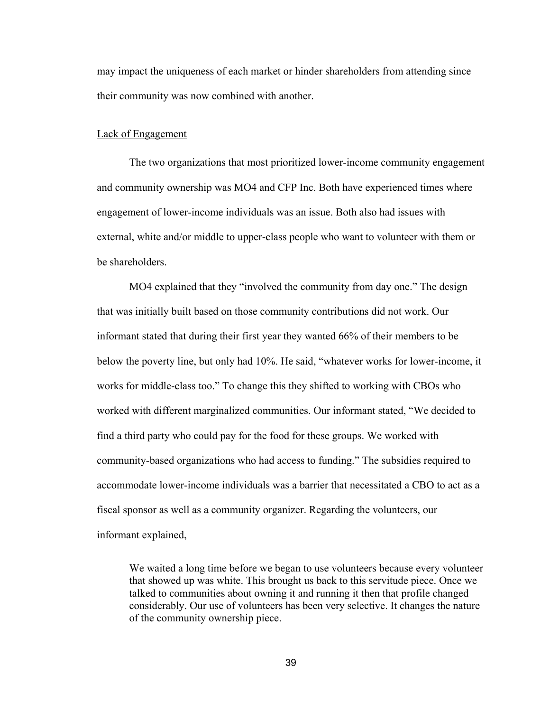may impact the uniqueness of each market or hinder shareholders from attending since their community was now combined with another.

#### Lack of Engagement

The two organizations that most prioritized lower-income community engagement and community ownership was MO4 and CFP Inc. Both have experienced times where engagement of lower-income individuals was an issue. Both also had issues with external, white and/or middle to upper-class people who want to volunteer with them or be shareholders.

MO4 explained that they "involved the community from day one." The design that was initially built based on those community contributions did not work. Our informant stated that during their first year they wanted 66% of their members to be below the poverty line, but only had 10%. He said, "whatever works for lower-income, it works for middle-class too." To change this they shifted to working with CBOs who worked with different marginalized communities. Our informant stated, "We decided to find a third party who could pay for the food for these groups. We worked with community-based organizations who had access to funding." The subsidies required to accommodate lower-income individuals was a barrier that necessitated a CBO to act as a fiscal sponsor as well as a community organizer. Regarding the volunteers, our informant explained,

We waited a long time before we began to use volunteers because every volunteer that showed up was white. This brought us back to this servitude piece. Once we talked to communities about owning it and running it then that profile changed considerably. Our use of volunteers has been very selective. It changes the nature of the community ownership piece.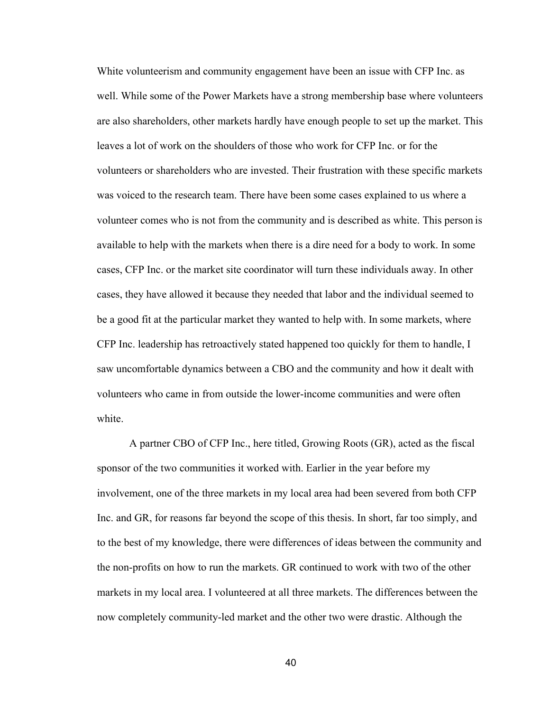White volunteerism and community engagement have been an issue with CFP Inc. as well. While some of the Power Markets have a strong membership base where volunteers are also shareholders, other markets hardly have enough people to set up the market. This leaves a lot of work on the shoulders of those who work for CFP Inc. or for the volunteers or shareholders who are invested. Their frustration with these specific markets was voiced to the research team. There have been some cases explained to us where a volunteer comes who is not from the community and is described as white. This person is available to help with the markets when there is a dire need for a body to work. In some cases, CFP Inc. or the market site coordinator will turn these individuals away. In other cases, they have allowed it because they needed that labor and the individual seemed to be a good fit at the particular market they wanted to help with. In some markets, where CFP Inc. leadership has retroactively stated happened too quickly for them to handle, I saw uncomfortable dynamics between a CBO and the community and how it dealt with volunteers who came in from outside the lower-income communities and were often white.

A partner CBO of CFP Inc., here titled, Growing Roots (GR), acted as the fiscal sponsor of the two communities it worked with. Earlier in the year before my involvement, one of the three markets in my local area had been severed from both CFP Inc. and GR, for reasons far beyond the scope of this thesis. In short, far too simply, and to the best of my knowledge, there were differences of ideas between the community and the non-profits on how to run the markets. GR continued to work with two of the other markets in my local area. I volunteered at all three markets. The differences between the now completely community-led market and the other two were drastic. Although the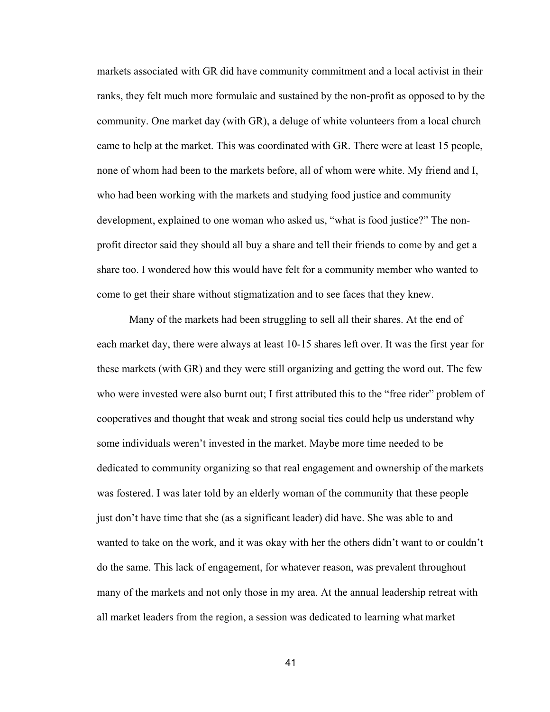markets associated with GR did have community commitment and a local activist in their ranks, they felt much more formulaic and sustained by the non-profit as opposed to by the community. One market day (with GR), a deluge of white volunteers from a local church came to help at the market. This was coordinated with GR. There were at least 15 people, none of whom had been to the markets before, all of whom were white. My friend and I, who had been working with the markets and studying food justice and community development, explained to one woman who asked us, "what is food justice?" The nonprofit director said they should all buy a share and tell their friends to come by and get a share too. I wondered how this would have felt for a community member who wanted to come to get their share without stigmatization and to see faces that they knew.

Many of the markets had been struggling to sell all their shares. At the end of each market day, there were always at least 10-15 shares left over. It was the first year for these markets (with GR) and they were still organizing and getting the word out. The few who were invested were also burnt out; I first attributed this to the "free rider" problem of cooperatives and thought that weak and strong social ties could help us understand why some individuals weren't invested in the market. Maybe more time needed to be dedicated to community organizing so that real engagement and ownership of the markets was fostered. I was later told by an elderly woman of the community that these people just don't have time that she (as a significant leader) did have. She was able to and wanted to take on the work, and it was okay with her the others didn't want to or couldn't do the same. This lack of engagement, for whatever reason, was prevalent throughout many of the markets and not only those in my area. At the annual leadership retreat with all market leaders from the region, a session was dedicated to learning what market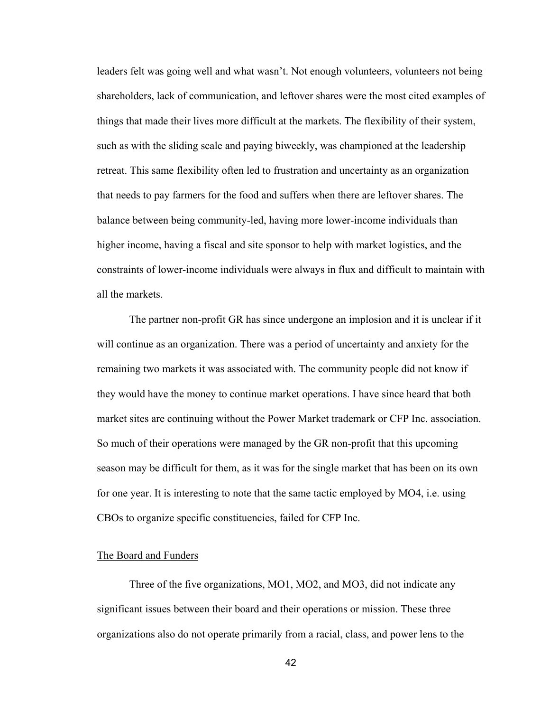leaders felt was going well and what wasn't. Not enough volunteers, volunteers not being shareholders, lack of communication, and leftover shares were the most cited examples of things that made their lives more difficult at the markets. The flexibility of their system, such as with the sliding scale and paying biweekly, was championed at the leadership retreat. This same flexibility often led to frustration and uncertainty as an organization that needs to pay farmers for the food and suffers when there are leftover shares. The balance between being community-led, having more lower-income individuals than higher income, having a fiscal and site sponsor to help with market logistics, and the constraints of lower-income individuals were always in flux and difficult to maintain with all the markets.

The partner non-profit GR has since undergone an implosion and it is unclear if it will continue as an organization. There was a period of uncertainty and anxiety for the remaining two markets it was associated with. The community people did not know if they would have the money to continue market operations. I have since heard that both market sites are continuing without the Power Market trademark or CFP Inc. association. So much of their operations were managed by the GR non-profit that this upcoming season may be difficult for them, as it was for the single market that has been on its own for one year. It is interesting to note that the same tactic employed by MO4, i.e. using CBOs to organize specific constituencies, failed for CFP Inc.

# The Board and Funders

Three of the five organizations, MO1, MO2, and MO3, did not indicate any significant issues between their board and their operations or mission. These three organizations also do not operate primarily from a racial, class, and power lens to the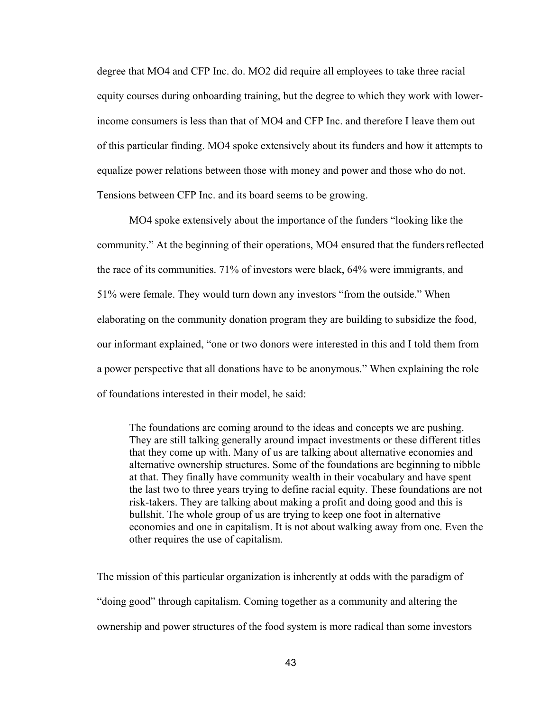degree that MO4 and CFP Inc. do. MO2 did require all employees to take three racial equity courses during onboarding training, but the degree to which they work with lowerincome consumers is less than that of MO4 and CFP Inc. and therefore I leave them out of this particular finding. MO4 spoke extensively about its funders and how it attempts to equalize power relations between those with money and power and those who do not. Tensions between CFP Inc. and its board seems to be growing.

MO4 spoke extensively about the importance of the funders "looking like the community." At the beginning of their operations, MO4 ensured that the funders reflected the race of its communities. 71% of investors were black, 64% were immigrants, and 51% were female. They would turn down any investors "from the outside." When elaborating on the community donation program they are building to subsidize the food, our informant explained, "one or two donors were interested in this and I told them from a power perspective that all donations have to be anonymous." When explaining the role of foundations interested in their model, he said:

The foundations are coming around to the ideas and concepts we are pushing. They are still talking generally around impact investments or these different titles that they come up with. Many of us are talking about alternative economies and alternative ownership structures. Some of the foundations are beginning to nibble at that. They finally have community wealth in their vocabulary and have spent the last two to three years trying to define racial equity. These foundations are not risk-takers. They are talking about making a profit and doing good and this is bullshit. The whole group of us are trying to keep one foot in alternative economies and one in capitalism. It is not about walking away from one. Even the other requires the use of capitalism.

The mission of this particular organization is inherently at odds with the paradigm of "doing good" through capitalism. Coming together as a community and altering the ownership and power structures of the food system is more radical than some investors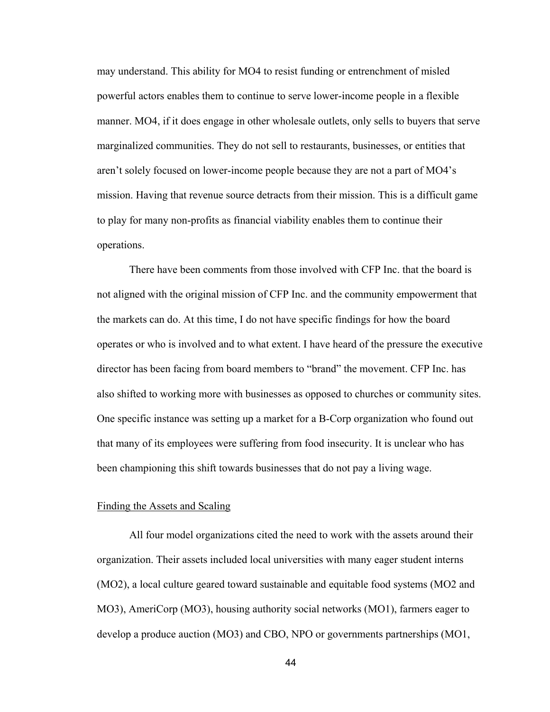may understand. This ability for MO4 to resist funding or entrenchment of misled powerful actors enables them to continue to serve lower-income people in a flexible manner. MO4, if it does engage in other wholesale outlets, only sells to buyers that serve marginalized communities. They do not sell to restaurants, businesses, or entities that aren't solely focused on lower-income people because they are not a part of MO4's mission. Having that revenue source detracts from their mission. This is a difficult game to play for many non-profits as financial viability enables them to continue their operations.

There have been comments from those involved with CFP Inc. that the board is not aligned with the original mission of CFP Inc. and the community empowerment that the markets can do. At this time, I do not have specific findings for how the board operates or who is involved and to what extent. I have heard of the pressure the executive director has been facing from board members to "brand" the movement. CFP Inc. has also shifted to working more with businesses as opposed to churches or community sites. One specific instance was setting up a market for a B-Corp organization who found out that many of its employees were suffering from food insecurity. It is unclear who has been championing this shift towards businesses that do not pay a living wage.

### Finding the Assets and Scaling

All four model organizations cited the need to work with the assets around their organization. Their assets included local universities with many eager student interns (MO2), a local culture geared toward sustainable and equitable food systems (MO2 and MO3), AmeriCorp (MO3), housing authority social networks (MO1), farmers eager to develop a produce auction (MO3) and CBO, NPO or governments partnerships (MO1,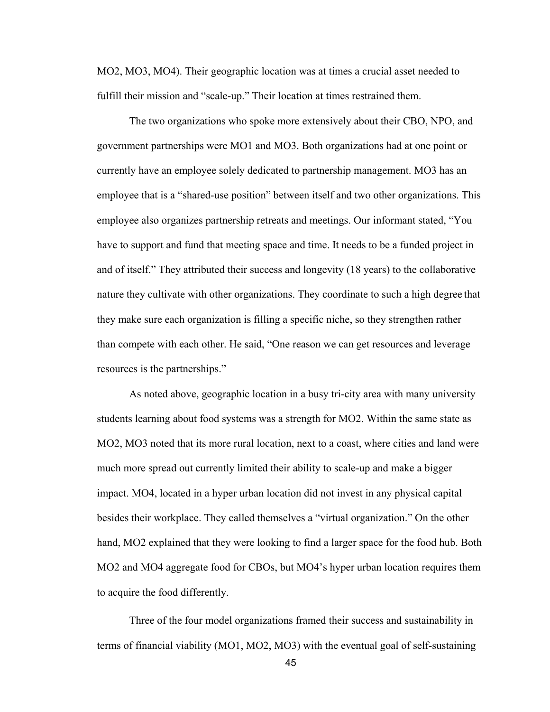MO2, MO3, MO4). Their geographic location was at times a crucial asset needed to fulfill their mission and "scale-up." Their location at times restrained them.

The two organizations who spoke more extensively about their CBO, NPO, and government partnerships were MO1 and MO3. Both organizations had at one point or currently have an employee solely dedicated to partnership management. MO3 has an employee that is a "shared-use position" between itself and two other organizations. This employee also organizes partnership retreats and meetings. Our informant stated, "You have to support and fund that meeting space and time. It needs to be a funded project in and of itself." They attributed their success and longevity (18 years) to the collaborative nature they cultivate with other organizations. They coordinate to such a high degree that they make sure each organization is filling a specific niche, so they strengthen rather than compete with each other. He said, "One reason we can get resources and leverage resources is the partnerships."

As noted above, geographic location in a busy tri-city area with many university students learning about food systems was a strength for MO2. Within the same state as MO2, MO3 noted that its more rural location, next to a coast, where cities and land were much more spread out currently limited their ability to scale-up and make a bigger impact. MO4, located in a hyper urban location did not invest in any physical capital besides their workplace. They called themselves a "virtual organization." On the other hand, MO2 explained that they were looking to find a larger space for the food hub. Both MO2 and MO4 aggregate food for CBOs, but MO4's hyper urban location requires them to acquire the food differently.

Three of the four model organizations framed their success and sustainability in terms of financial viability (MO1, MO2, MO3) with the eventual goal of self-sustaining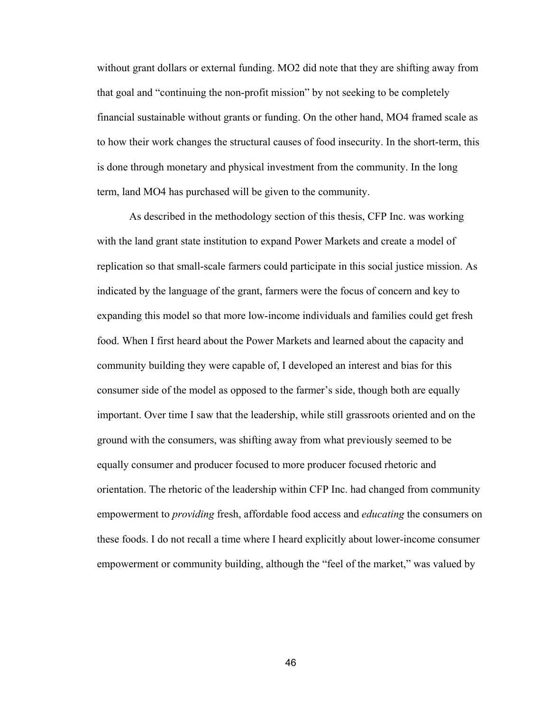without grant dollars or external funding. MO2 did note that they are shifting away from that goal and "continuing the non-profit mission" by not seeking to be completely financial sustainable without grants or funding. On the other hand, MO4 framed scale as to how their work changes the structural causes of food insecurity. In the short-term, this is done through monetary and physical investment from the community. In the long term, land MO4 has purchased will be given to the community.

As described in the methodology section of this thesis, CFP Inc. was working with the land grant state institution to expand Power Markets and create a model of replication so that small-scale farmers could participate in this social justice mission. As indicated by the language of the grant, farmers were the focus of concern and key to expanding this model so that more low-income individuals and families could get fresh food. When I first heard about the Power Markets and learned about the capacity and community building they were capable of, I developed an interest and bias for this consumer side of the model as opposed to the farmer's side, though both are equally important. Over time I saw that the leadership, while still grassroots oriented and on the ground with the consumers, was shifting away from what previously seemed to be equally consumer and producer focused to more producer focused rhetoric and orientation. The rhetoric of the leadership within CFP Inc. had changed from community empowerment to *providing* fresh, affordable food access and *educating* the consumers on these foods. I do not recall a time where I heard explicitly about lower-income consumer empowerment or community building, although the "feel of the market," was valued by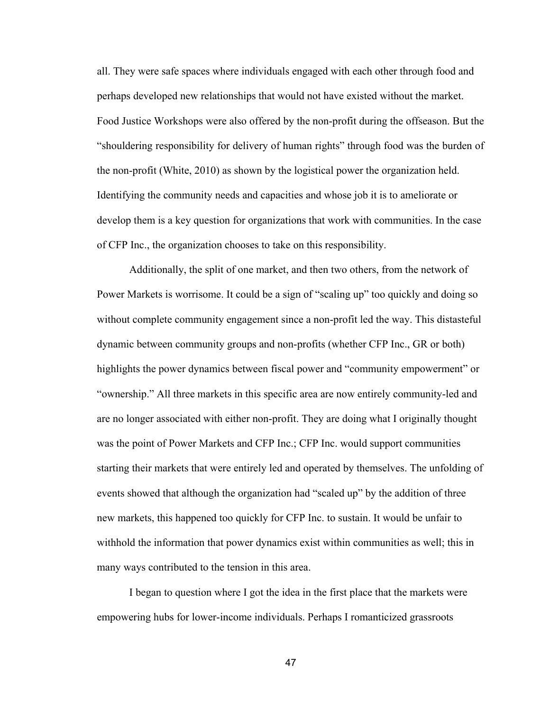all. They were safe spaces where individuals engaged with each other through food and perhaps developed new relationships that would not have existed without the market. Food Justice Workshops were also offered by the non-profit during the offseason. But the "shouldering responsibility for delivery of human rights" through food was the burden of the non-profit (White, 2010) as shown by the logistical power the organization held. Identifying the community needs and capacities and whose job it is to ameliorate or develop them is a key question for organizations that work with communities. In the case of CFP Inc., the organization chooses to take on this responsibility.

Additionally, the split of one market, and then two others, from the network of Power Markets is worrisome. It could be a sign of "scaling up" too quickly and doing so without complete community engagement since a non-profit led the way. This distasteful dynamic between community groups and non-profits (whether CFP Inc., GR or both) highlights the power dynamics between fiscal power and "community empowerment" or "ownership." All three markets in this specific area are now entirely community-led and are no longer associated with either non-profit. They are doing what I originally thought was the point of Power Markets and CFP Inc.; CFP Inc. would support communities starting their markets that were entirely led and operated by themselves. The unfolding of events showed that although the organization had "scaled up" by the addition of three new markets, this happened too quickly for CFP Inc. to sustain. It would be unfair to withhold the information that power dynamics exist within communities as well; this in many ways contributed to the tension in this area.

I began to question where I got the idea in the first place that the markets were empowering hubs for lower-income individuals. Perhaps I romanticized grassroots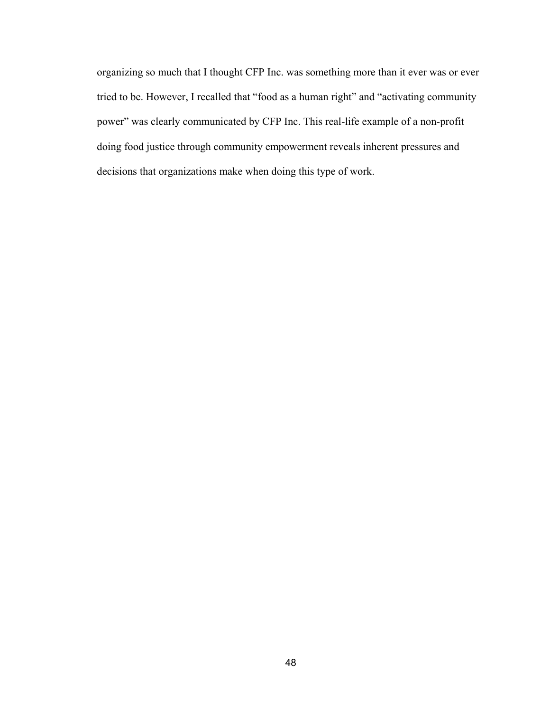organizing so much that I thought CFP Inc. was something more than it ever was or ever tried to be. However, I recalled that "food as a human right" and "activating community power" was clearly communicated by CFP Inc. This real-life example of a non-profit doing food justice through community empowerment reveals inherent pressures and decisions that organizations make when doing this type of work.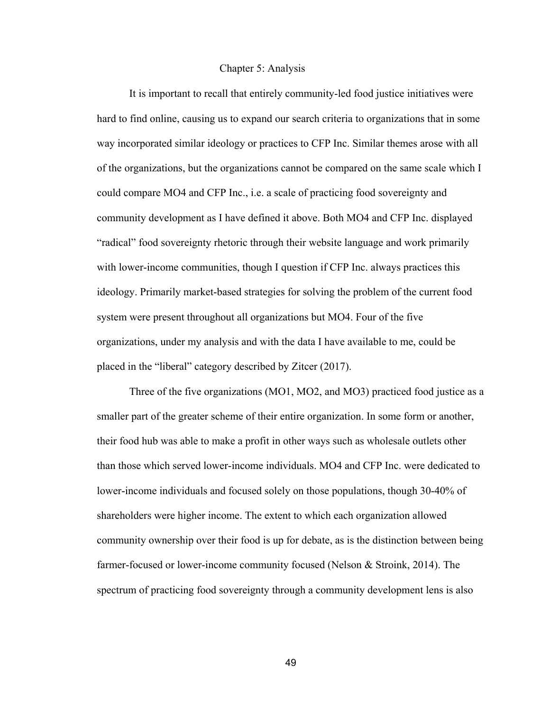## Chapter 5: Analysis

It is important to recall that entirely community-led food justice initiatives were hard to find online, causing us to expand our search criteria to organizations that in some way incorporated similar ideology or practices to CFP Inc. Similar themes arose with all of the organizations, but the organizations cannot be compared on the same scale which I could compare MO4 and CFP Inc., i.e. a scale of practicing food sovereignty and community development as I have defined it above. Both MO4 and CFP Inc. displayed "radical" food sovereignty rhetoric through their website language and work primarily with lower-income communities, though I question if CFP Inc. always practices this ideology. Primarily market-based strategies for solving the problem of the current food system were present throughout all organizations but MO4. Four of the five organizations, under my analysis and with the data I have available to me, could be placed in the "liberal" category described by Zitcer (2017).

Three of the five organizations (MO1, MO2, and MO3) practiced food justice as a smaller part of the greater scheme of their entire organization. In some form or another, their food hub was able to make a profit in other ways such as wholesale outlets other than those which served lower-income individuals. MO4 and CFP Inc. were dedicated to lower-income individuals and focused solely on those populations, though 30-40% of shareholders were higher income. The extent to which each organization allowed community ownership over their food is up for debate, as is the distinction between being farmer-focused or lower-income community focused (Nelson & Stroink, 2014). The spectrum of practicing food sovereignty through a community development lens is also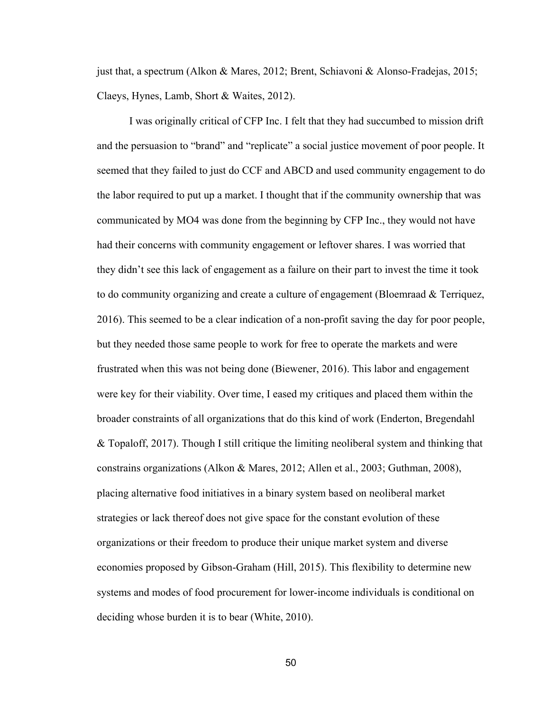just that, a spectrum (Alkon & Mares, 2012; Brent, Schiavoni & Alonso-Fradejas, 2015; Claeys, Hynes, Lamb, Short & Waites, 2012).

I was originally critical of CFP Inc. I felt that they had succumbed to mission drift and the persuasion to "brand" and "replicate" a social justice movement of poor people. It seemed that they failed to just do CCF and ABCD and used community engagement to do the labor required to put up a market. I thought that if the community ownership that was communicated by MO4 was done from the beginning by CFP Inc., they would not have had their concerns with community engagement or leftover shares. I was worried that they didn't see this lack of engagement as a failure on their part to invest the time it took to do community organizing and create a culture of engagement (Bloemraad & Terriquez, 2016). This seemed to be a clear indication of a non-profit saving the day for poor people, but they needed those same people to work for free to operate the markets and were frustrated when this was not being done (Biewener, 2016). This labor and engagement were key for their viability. Over time, I eased my critiques and placed them within the broader constraints of all organizations that do this kind of work (Enderton, Bregendahl & Topaloff, 2017). Though I still critique the limiting neoliberal system and thinking that constrains organizations (Alkon & Mares, 2012; Allen et al., 2003; Guthman, 2008), placing alternative food initiatives in a binary system based on neoliberal market strategies or lack thereof does not give space for the constant evolution of these organizations or their freedom to produce their unique market system and diverse economies proposed by Gibson-Graham (Hill, 2015). This flexibility to determine new systems and modes of food procurement for lower-income individuals is conditional on deciding whose burden it is to bear (White, 2010).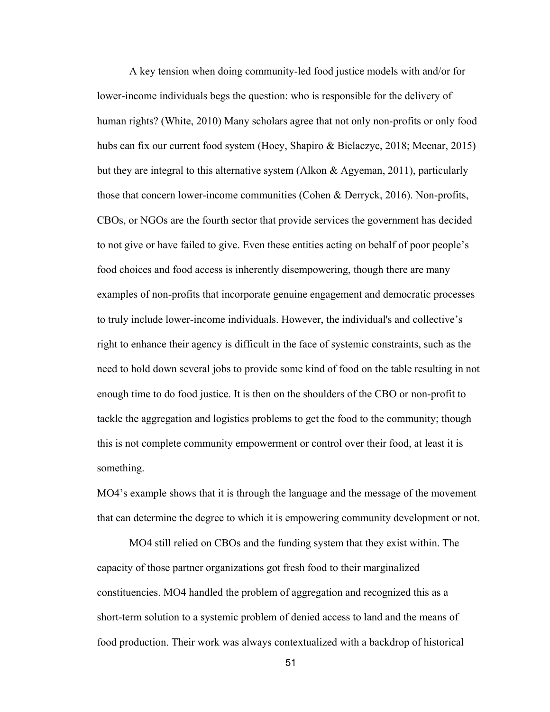A key tension when doing community-led food justice models with and/or for lower-income individuals begs the question: who is responsible for the delivery of human rights? (White, 2010) Many scholars agree that not only non-profits or only food hubs can fix our current food system (Hoey, Shapiro & Bielaczyc, 2018; Meenar, 2015) but they are integral to this alternative system (Alkon & Agyeman, 2011), particularly those that concern lower-income communities (Cohen & Derryck, 2016). Non-profits, CBOs, or NGOs are the fourth sector that provide services the government has decided to not give or have failed to give. Even these entities acting on behalf of poor people's food choices and food access is inherently disempowering, though there are many examples of non-profits that incorporate genuine engagement and democratic processes to truly include lower-income individuals. However, the individual's and collective's right to enhance their agency is difficult in the face of systemic constraints, such as the need to hold down several jobs to provide some kind of food on the table resulting in not enough time to do food justice. It is then on the shoulders of the CBO or non-profit to tackle the aggregation and logistics problems to get the food to the community; though this is not complete community empowerment or control over their food, at least it is something.

MO4's example shows that it is through the language and the message of the movement that can determine the degree to which it is empowering community development or not.

MO4 still relied on CBOs and the funding system that they exist within. The capacity of those partner organizations got fresh food to their marginalized constituencies. MO4 handled the problem of aggregation and recognized this as a short-term solution to a systemic problem of denied access to land and the means of food production. Their work was always contextualized with a backdrop of historical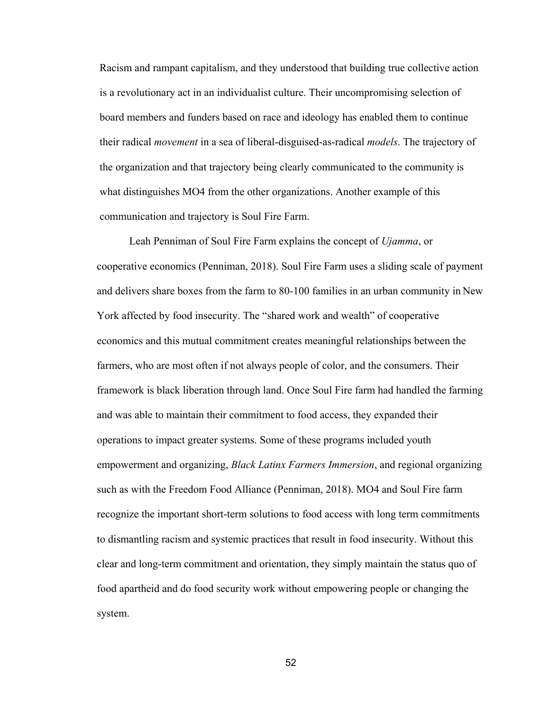Racism and rampant capitalism, and they understood that building true collective action is a revolutionary act in an individualist culture. Their uncompromising selection of board members and funders based on race and ideology has enabled them to continue their radical *movement* in a sea of liberal-disguised-as-radical *models*. The trajectory of the organization and that trajectory being clearly communicated to the community is what distinguishes MO4 from the other organizations. Another example of this communication and trajectory is Soul Fire Farm.

Leah Penniman of Soul Fire Farm explains the concept of *Ujamma*, or cooperative economics (Penniman, 2018). Soul Fire Farm uses a sliding scale of payment and delivers share boxes from the farm to 80-100 families in an urban community in New York affected by food insecurity. The "shared work and wealth" of cooperative economics and this mutual commitment creates meaningful relationships between the farmers, who are most often if not always people of color, and the consumers. Their framework is black liberation through land. Once Soul Fire farm had handled the farming and was able to maintain their commitment to food access, they expanded their operations to impact greater systems. Some of these programs included youth empowerment and organizing, *Black Latinx Farmers Immersion*, and regional organizing such as with the Freedom Food Alliance (Penniman, 2018). MO4 and Soul Fire farm recognize the important short-term solutions to food access with long term commitments to dismantling racism and systemic practices that result in food insecurity. Without this clear and long-term commitment and orientation, they simply maintain the status quo of food apartheid and do food security work without empowering people or changing the system.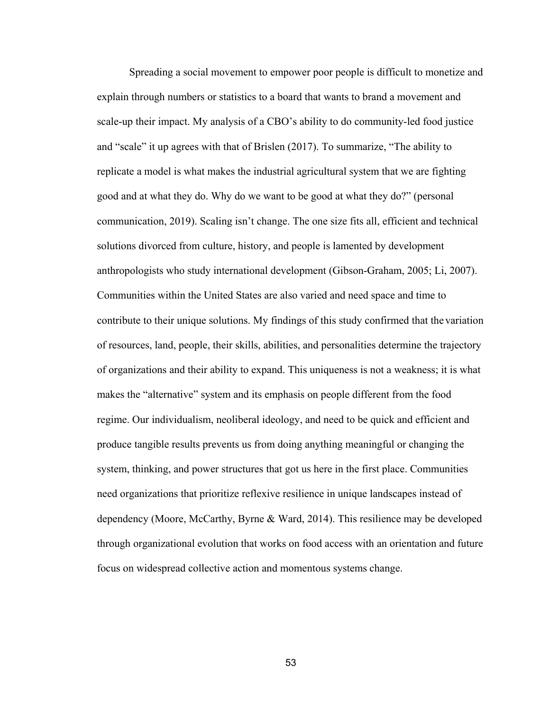Spreading a social movement to empower poor people is difficult to monetize and explain through numbers or statistics to a board that wants to brand a movement and scale-up their impact. My analysis of a CBO's ability to do community-led food justice and "scale" it up agrees with that of Brislen (2017). To summarize, "The ability to replicate a model is what makes the industrial agricultural system that we are fighting good and at what they do. Why do we want to be good at what they do?" (personal communication, 2019). Scaling isn't change. The one size fits all, efficient and technical solutions divorced from culture, history, and people is lamented by development anthropologists who study international development (Gibson-Graham, 2005; Li, 2007). Communities within the United States are also varied and need space and time to contribute to their unique solutions. My findings of this study confirmed that the variation of resources, land, people, their skills, abilities, and personalities determine the trajectory of organizations and their ability to expand. This uniqueness is not a weakness; it is what makes the "alternative" system and its emphasis on people different from the food regime. Our individualism, neoliberal ideology, and need to be quick and efficient and produce tangible results prevents us from doing anything meaningful or changing the system, thinking, and power structures that got us here in the first place. Communities need organizations that prioritize reflexive resilience in unique landscapes instead of dependency (Moore, McCarthy, Byrne & Ward, 2014). This resilience may be developed through organizational evolution that works on food access with an orientation and future focus on widespread collective action and momentous systems change.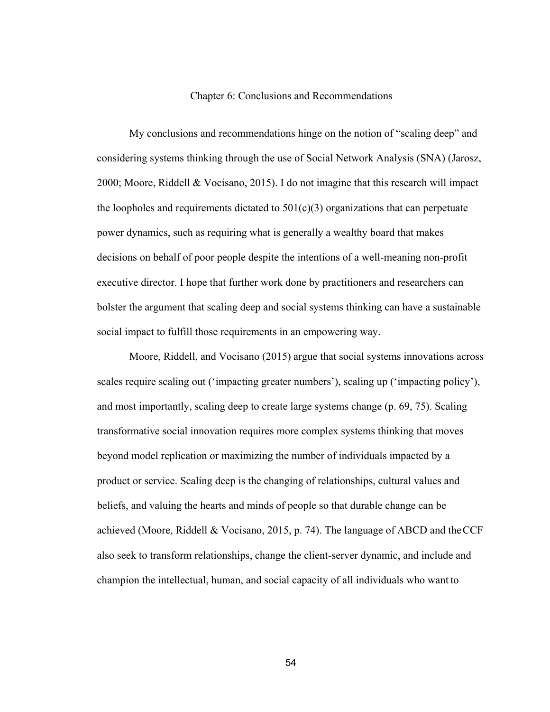#### Chapter 6: Conclusions and Recommendations

My conclusions and recommendations hinge on the notion of "scaling deep" and considering systems thinking through the use of Social Network Analysis (SNA) (Jarosz, 2000; Moore, Riddell & Vocisano, 2015). I do not imagine that this research will impact the loopholes and requirements dictated to  $501(c)(3)$  organizations that can perpetuate power dynamics, such as requiring what is generally a wealthy board that makes decisions on behalf of poor people despite the intentions of a well-meaning non-profit executive director. I hope that further work done by practitioners and researchers can bolster the argument that scaling deep and social systems thinking can have a sustainable social impact to fulfill those requirements in an empowering way.

Moore, Riddell, and Vocisano (2015) argue that social systems innovations across scales require scaling out ('impacting greater numbers'), scaling up ('impacting policy'), and most importantly, scaling deep to create large systems change (p. 69, 75). Scaling transformative social innovation requires more complex systems thinking that moves beyond model replication or maximizing the number of individuals impacted by a product or service. Scaling deep is the changing of relationships, cultural values and beliefs, and valuing the hearts and minds of people so that durable change can be achieved (Moore, Riddell & Vocisano, 2015, p. 74). The language of ABCD and theCCF also seek to transform relationships, change the client-server dynamic, and include and champion the intellectual, human, and social capacity of all individuals who want to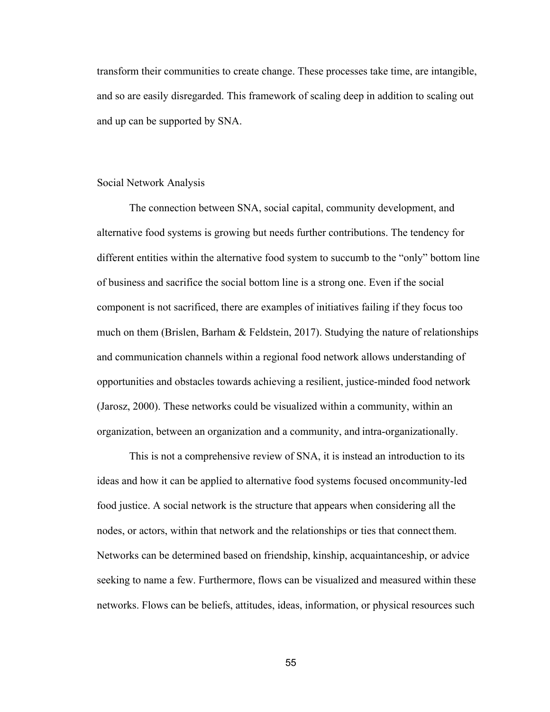transform their communities to create change. These processes take time, are intangible, and so are easily disregarded. This framework of scaling deep in addition to scaling out and up can be supported by SNA.

#### Social Network Analysis

The connection between SNA, social capital, community development, and alternative food systems is growing but needs further contributions. The tendency for different entities within the alternative food system to succumb to the "only" bottom line of business and sacrifice the social bottom line is a strong one. Even if the social component is not sacrificed, there are examples of initiatives failing if they focus too much on them (Brislen, Barham & Feldstein, 2017). Studying the nature of relationships and communication channels within a regional food network allows understanding of opportunities and obstacles towards achieving a resilient, justice-minded food network (Jarosz, 2000). These networks could be visualized within a community, within an organization, between an organization and a community, and intra-organizationally.

This is not a comprehensive review of SNA, it is instead an introduction to its ideas and how it can be applied to alternative food systems focused oncommunity-led food justice. A social network is the structure that appears when considering all the nodes, or actors, within that network and the relationships or ties that connect them. Networks can be determined based on friendship, kinship, acquaintanceship, or advice seeking to name a few. Furthermore, flows can be visualized and measured within these networks. Flows can be beliefs, attitudes, ideas, information, or physical resources such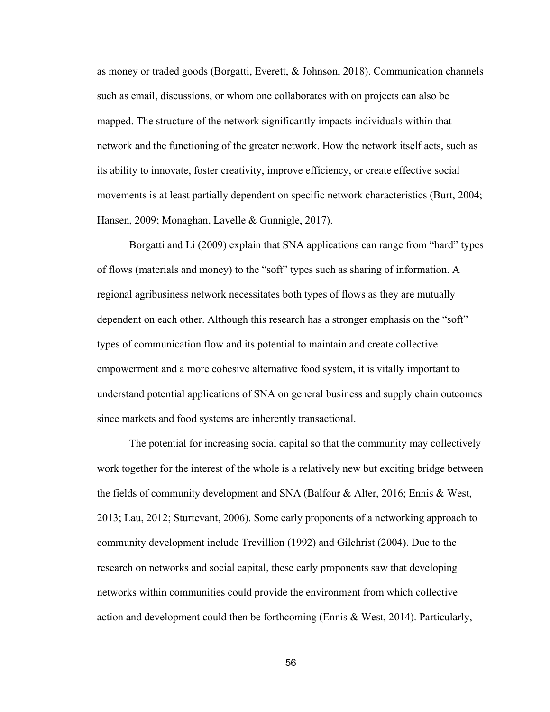as money or traded goods (Borgatti, Everett, & Johnson, 2018). Communication channels such as email, discussions, or whom one collaborates with on projects can also be mapped. The structure of the network significantly impacts individuals within that network and the functioning of the greater network. How the network itself acts, such as its ability to innovate, foster creativity, improve efficiency, or create effective social movements is at least partially dependent on specific network characteristics (Burt, 2004; Hansen, 2009; Monaghan, Lavelle & Gunnigle, 2017).

Borgatti and Li (2009) explain that SNA applications can range from "hard" types of flows (materials and money) to the "soft" types such as sharing of information. A regional agribusiness network necessitates both types of flows as they are mutually dependent on each other. Although this research has a stronger emphasis on the "soft" types of communication flow and its potential to maintain and create collective empowerment and a more cohesive alternative food system, it is vitally important to understand potential applications of SNA on general business and supply chain outcomes since markets and food systems are inherently transactional.

The potential for increasing social capital so that the community may collectively work together for the interest of the whole is a relatively new but exciting bridge between the fields of community development and SNA (Balfour & Alter, 2016; Ennis & West, 2013; Lau, 2012; Sturtevant, 2006). Some early proponents of a networking approach to community development include Trevillion (1992) and Gilchrist (2004). Due to the research on networks and social capital, these early proponents saw that developing networks within communities could provide the environment from which collective action and development could then be forthcoming (Ennis & West, 2014). Particularly,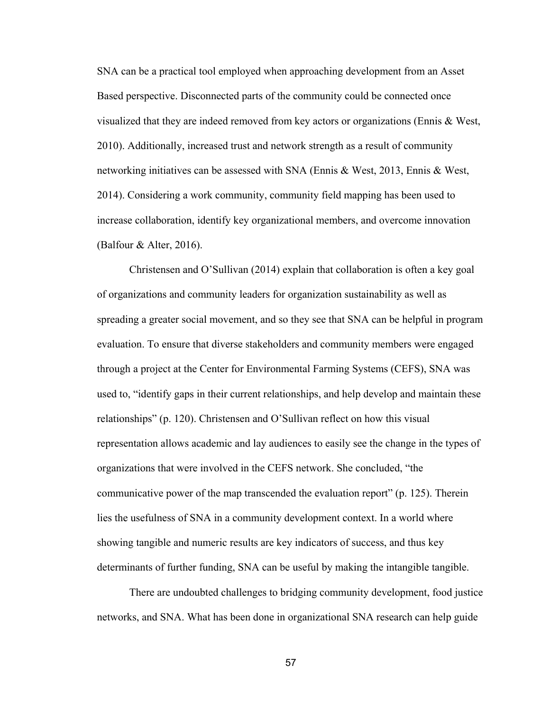SNA can be a practical tool employed when approaching development from an Asset Based perspective. Disconnected parts of the community could be connected once visualized that they are indeed removed from key actors or organizations (Ennis & West, 2010). Additionally, increased trust and network strength as a result of community networking initiatives can be assessed with SNA (Ennis & West, 2013, Ennis & West, 2014). Considering a work community, community field mapping has been used to increase collaboration, identify key organizational members, and overcome innovation (Balfour & Alter, 2016).

Christensen and O'Sullivan (2014) explain that collaboration is often a key goal of organizations and community leaders for organization sustainability as well as spreading a greater social movement, and so they see that SNA can be helpful in program evaluation. To ensure that diverse stakeholders and community members were engaged through a project at the Center for Environmental Farming Systems (CEFS), SNA was used to, "identify gaps in their current relationships, and help develop and maintain these relationships" (p. 120). Christensen and O'Sullivan reflect on how this visual representation allows academic and lay audiences to easily see the change in the types of organizations that were involved in the CEFS network. She concluded, "the communicative power of the map transcended the evaluation report" (p. 125). Therein lies the usefulness of SNA in a community development context. In a world where showing tangible and numeric results are key indicators of success, and thus key determinants of further funding, SNA can be useful by making the intangible tangible.

There are undoubted challenges to bridging community development, food justice networks, and SNA. What has been done in organizational SNA research can help guide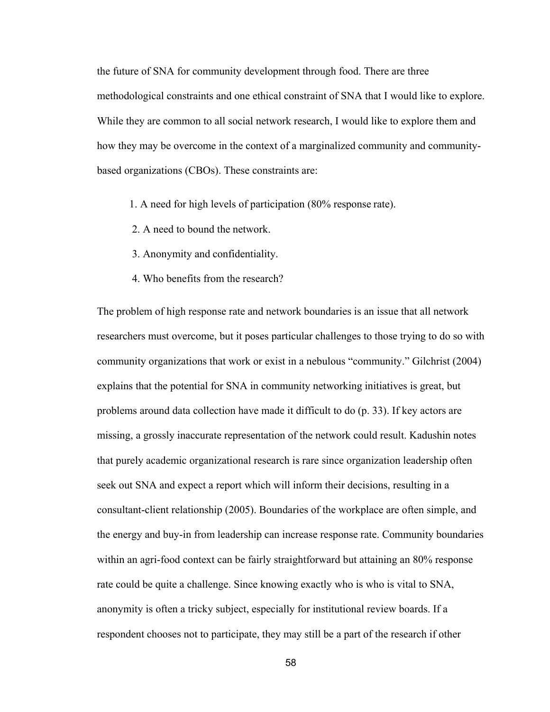the future of SNA for community development through food. There are three methodological constraints and one ethical constraint of SNA that I would like to explore. While they are common to all social network research, I would like to explore them and how they may be overcome in the context of a marginalized community and communitybased organizations (CBOs). These constraints are:

- 1. A need for high levels of participation (80% response rate).
- 2. A need to bound the network.
- 3. Anonymity and confidentiality.
- 4. Who benefits from the research?

The problem of high response rate and network boundaries is an issue that all network researchers must overcome, but it poses particular challenges to those trying to do so with community organizations that work or exist in a nebulous "community." Gilchrist (2004) explains that the potential for SNA in community networking initiatives is great, but problems around data collection have made it difficult to do (p. 33). If key actors are missing, a grossly inaccurate representation of the network could result. Kadushin notes that purely academic organizational research is rare since organization leadership often seek out SNA and expect a report which will inform their decisions, resulting in a consultant-client relationship (2005). Boundaries of the workplace are often simple, and the energy and buy-in from leadership can increase response rate. Community boundaries within an agri-food context can be fairly straightforward but attaining an 80% response rate could be quite a challenge. Since knowing exactly who is who is vital to SNA, anonymity is often a tricky subject, especially for institutional review boards. If a respondent chooses not to participate, they may still be a part of the research if other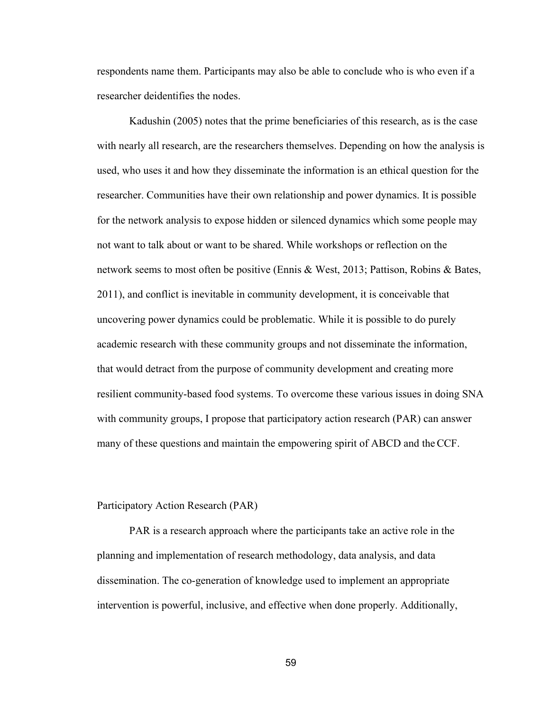respondents name them. Participants may also be able to conclude who is who even if a researcher deidentifies the nodes.

Kadushin (2005) notes that the prime beneficiaries of this research, as is the case with nearly all research, are the researchers themselves. Depending on how the analysis is used, who uses it and how they disseminate the information is an ethical question for the researcher. Communities have their own relationship and power dynamics. It is possible for the network analysis to expose hidden or silenced dynamics which some people may not want to talk about or want to be shared. While workshops or reflection on the network seems to most often be positive (Ennis & West, 2013; Pattison, Robins & Bates, 2011), and conflict is inevitable in community development, it is conceivable that uncovering power dynamics could be problematic. While it is possible to do purely academic research with these community groups and not disseminate the information, that would detract from the purpose of community development and creating more resilient community-based food systems. To overcome these various issues in doing SNA with community groups, I propose that participatory action research (PAR) can answer many of these questions and maintain the empowering spirit of ABCD and theCCF.

### Participatory Action Research (PAR)

PAR is a research approach where the participants take an active role in the planning and implementation of research methodology, data analysis, and data dissemination. The co-generation of knowledge used to implement an appropriate intervention is powerful, inclusive, and effective when done properly. Additionally,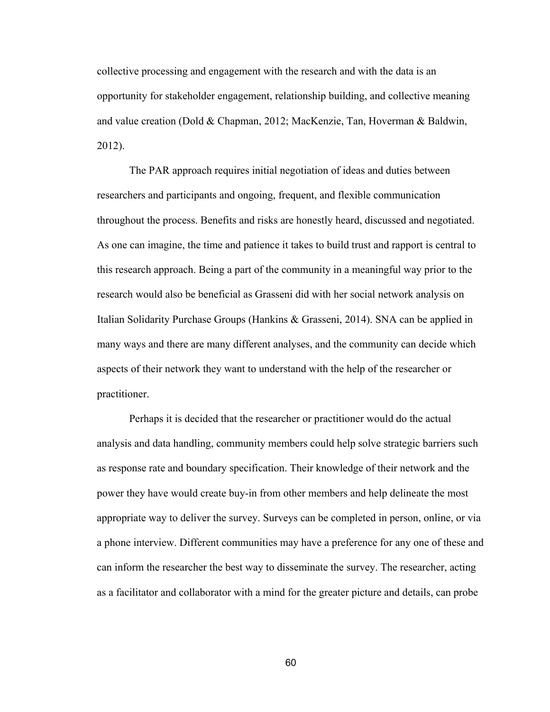collective processing and engagement with the research and with the data is an opportunity for stakeholder engagement, relationship building, and collective meaning and value creation (Dold & Chapman, 2012; MacKenzie, Tan, Hoverman & Baldwin, 2012).

The PAR approach requires initial negotiation of ideas and duties between researchers and participants and ongoing, frequent, and flexible communication throughout the process. Benefits and risks are honestly heard, discussed and negotiated. As one can imagine, the time and patience it takes to build trust and rapport is central to this research approach. Being a part of the community in a meaningful way prior to the research would also be beneficial as Grasseni did with her social network analysis on Italian Solidarity Purchase Groups (Hankins & Grasseni, 2014). SNA can be applied in many ways and there are many different analyses, and the community can decide which aspects of their network they want to understand with the help of the researcher or practitioner.

Perhaps it is decided that the researcher or practitioner would do the actual analysis and data handling, community members could help solve strategic barriers such as response rate and boundary specification. Their knowledge of their network and the power they have would create buy-in from other members and help delineate the most appropriate way to deliver the survey. Surveys can be completed in person, online, or via a phone interview. Different communities may have a preference for any one of these and can inform the researcher the best way to disseminate the survey. The researcher, acting as a facilitator and collaborator with a mind for the greater picture and details, can probe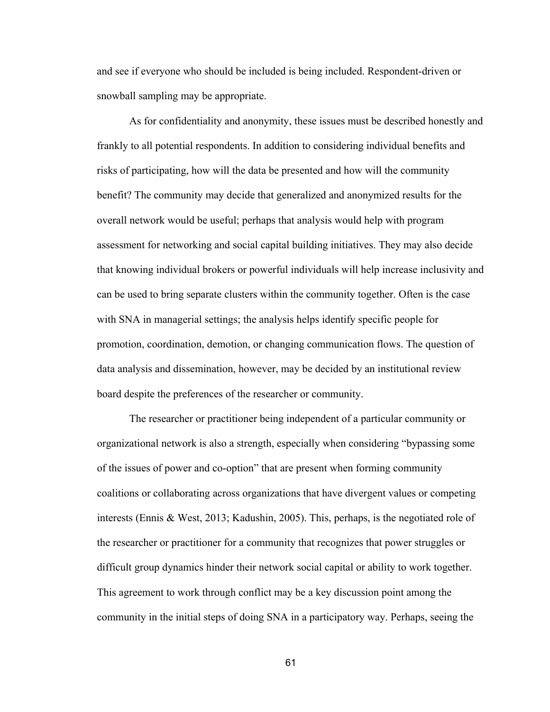and see if everyone who should be included is being included. Respondent-driven or snowball sampling may be appropriate.

As for confidentiality and anonymity, these issues must be described honestly and frankly to all potential respondents. In addition to considering individual benefits and risks of participating, how will the data be presented and how will the community benefit? The community may decide that generalized and anonymized results for the overall network would be useful; perhaps that analysis would help with program assessment for networking and social capital building initiatives. They may also decide that knowing individual brokers or powerful individuals will help increase inclusivity and can be used to bring separate clusters within the community together. Often is the case with SNA in managerial settings; the analysis helps identify specific people for promotion, coordination, demotion, or changing communication flows. The question of data analysis and dissemination, however, may be decided by an institutional review board despite the preferences of the researcher or community.

The researcher or practitioner being independent of a particular community or organizational network is also a strength, especially when considering "bypassing some of the issues of power and co-option" that are present when forming community coalitions or collaborating across organizations that have divergent values or competing interests (Ennis & West, 2013; Kadushin, 2005). This, perhaps, is the negotiated role of the researcher or practitioner for a community that recognizes that power struggles or difficult group dynamics hinder their network social capital or ability to work together. This agreement to work through conflict may be a key discussion point among the community in the initial steps of doing SNA in a participatory way. Perhaps, seeing the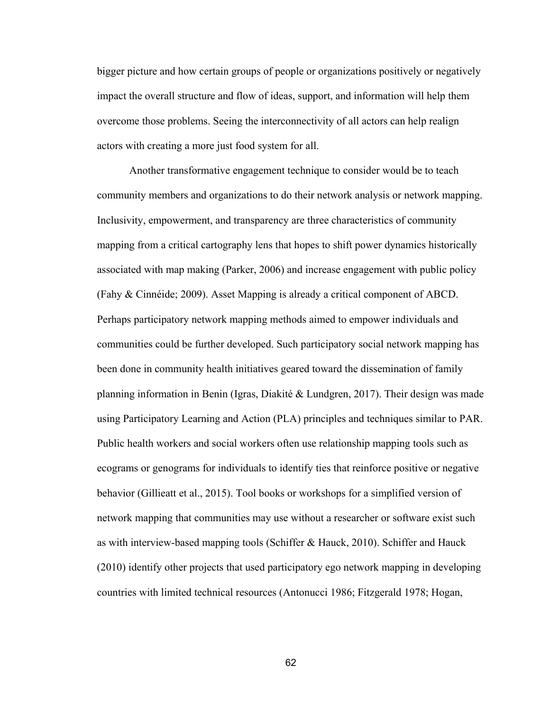bigger picture and how certain groups of people or organizations positively or negatively impact the overall structure and flow of ideas, support, and information will help them overcome those problems. Seeing the interconnectivity of all actors can help realign actors with creating a more just food system for all.

Another transformative engagement technique to consider would be to teach community members and organizations to do their network analysis or network mapping. Inclusivity, empowerment, and transparency are three characteristics of community mapping from a critical cartography lens that hopes to shift power dynamics historically associated with map making (Parker, 2006) and increase engagement with public policy (Fahy & Cinnéide; 2009). Asset Mapping is already a critical component of ABCD. Perhaps participatory network mapping methods aimed to empower individuals and communities could be further developed. Such participatory social network mapping has been done in community health initiatives geared toward the dissemination of family planning information in Benin (Igras, Diakité & Lundgren, 2017). Their design was made using Participatory Learning and Action (PLA) principles and techniques similar to PAR. Public health workers and social workers often use relationship mapping tools such as ecograms or genograms for individuals to identify ties that reinforce positive or negative behavior (Gillieatt et al., 2015). Tool books or workshops for a simplified version of network mapping that communities may use without a researcher or software exist such as with interview-based mapping tools (Schiffer & Hauck, 2010). Schiffer and Hauck (2010) identify other projects that used participatory ego network mapping in developing countries with limited technical resources (Antonucci 1986; Fitzgerald 1978; Hogan,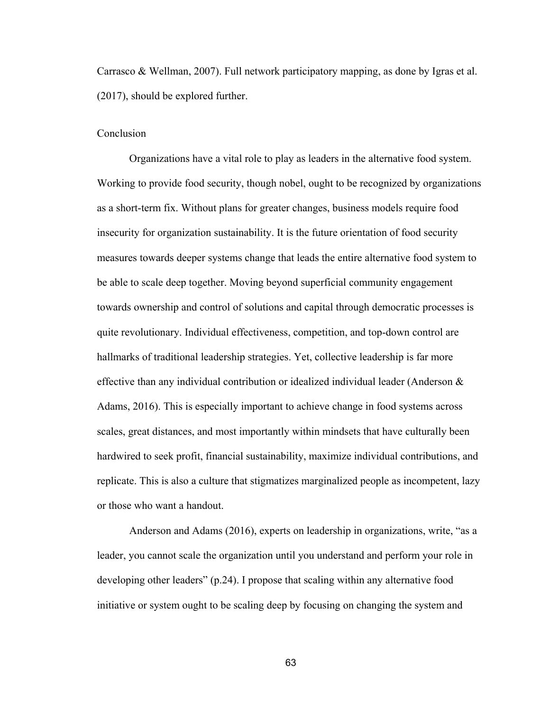Carrasco & Wellman, 2007). Full network participatory mapping, as done by Igras et al. (2017), should be explored further.

# Conclusion

Organizations have a vital role to play as leaders in the alternative food system. Working to provide food security, though nobel, ought to be recognized by organizations as a short-term fix. Without plans for greater changes, business models require food insecurity for organization sustainability. It is the future orientation of food security measures towards deeper systems change that leads the entire alternative food system to be able to scale deep together. Moving beyond superficial community engagement towards ownership and control of solutions and capital through democratic processes is quite revolutionary. Individual effectiveness, competition, and top-down control are hallmarks of traditional leadership strategies. Yet, collective leadership is far more effective than any individual contribution or idealized individual leader (Anderson & Adams, 2016). This is especially important to achieve change in food systems across scales, great distances, and most importantly within mindsets that have culturally been hardwired to seek profit, financial sustainability, maximize individual contributions, and replicate. This is also a culture that stigmatizes marginalized people as incompetent, lazy or those who want a handout.

Anderson and Adams (2016), experts on leadership in organizations, write, "as a leader, you cannot scale the organization until you understand and perform your role in developing other leaders" (p.24). I propose that scaling within any alternative food initiative or system ought to be scaling deep by focusing on changing the system and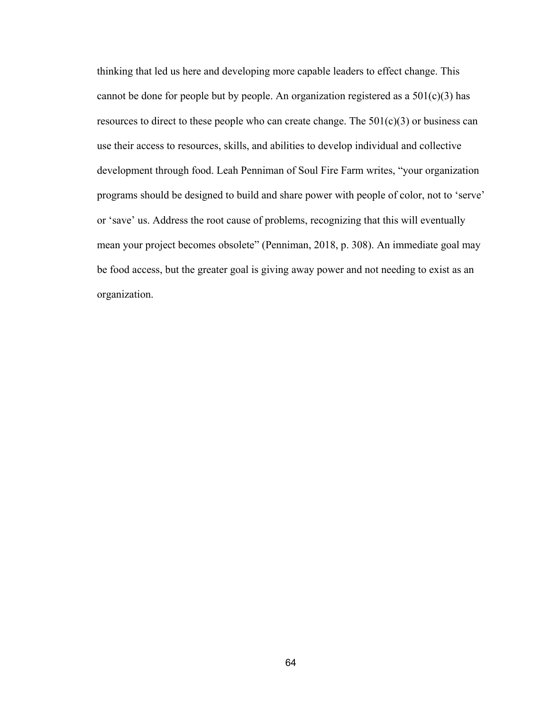thinking that led us here and developing more capable leaders to effect change. This cannot be done for people but by people. An organization registered as a  $501(c)(3)$  has resources to direct to these people who can create change. The  $501(c)(3)$  or business can use their access to resources, skills, and abilities to develop individual and collective development through food. Leah Penniman of Soul Fire Farm writes, "your organization programs should be designed to build and share power with people of color, not to 'serve' or 'save' us. Address the root cause of problems, recognizing that this will eventually mean your project becomes obsolete" (Penniman, 2018, p. 308). An immediate goal may be food access, but the greater goal is giving away power and not needing to exist as an organization.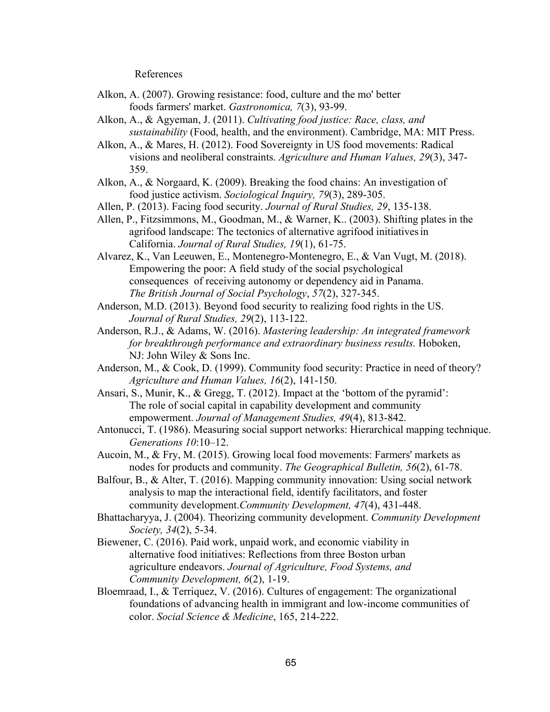References

- Alkon, A. (2007). Growing resistance: food, culture and the mo' better foods farmers' market. *Gastronomica, 7*(3), 93-99.
- Alkon, A., & Agyeman, J. (2011). *Cultivating food justice: Race, class, and sustainability* (Food, health, and the environment). Cambridge, MA: MIT Press.
- Alkon, A., & Mares, H. (2012). Food Sovereignty in US food movements: Radical visions and neoliberal constraints. *Agriculture and Human Values, 29*(3), 347- 359.
- Alkon, A., & Norgaard, K. (2009). Breaking the food chains: An investigation of food justice activism. *Sociological Inquiry, 79*(3), 289-305.
- Allen, P. (2013). Facing food security. *Journal of Rural Studies, 29*, 135-138.
- Allen, P., Fitzsimmons, M., Goodman, M., & Warner, K.. (2003). Shifting plates in the agrifood landscape: The tectonics of alternative agrifood initiativesin California. *Journal of Rural Studies, 19*(1), 61-75.
- Alvarez, K., Van Leeuwen, E., Montenegro-Montenegro, E., & Van Vugt, M. (2018). Empowering the poor: A field study of the social psychological consequences of receiving autonomy or dependency aid in Panama. *The British Journal of Social Psychology*, *57*(2), 327-345.
- Anderson, M.D. (2013). Beyond food security to realizing food rights in the US. *Journal of Rural Studies, 29*(2), 113-122.
- Anderson, R.J., & Adams, W. (2016). *Mastering leadership: An integrated framework for breakthrough performance and extraordinary business results.* Hoboken, NJ: John Wiley & Sons Inc.
- Anderson, M., & Cook, D. (1999). Community food security: Practice in need of theory? *Agriculture and Human Values, 16*(2), 141-150.
- Ansari, S., Munir, K., & Gregg, T. (2012). Impact at the 'bottom of the pyramid': The role of social capital in capability development and community empowerment. *Journal of Management Studies, 49*(4), 813-842.
- Antonucci, T. (1986). Measuring social support networks: Hierarchical mapping technique. *Generations 10*:10–12.
- Aucoin, M., & Fry, M. (2015). Growing local food movements: Farmers' markets as nodes for products and community. *The Geographical Bulletin, 56*(2), 61-78.
- Balfour, B., & Alter, T. (2016). Mapping community innovation: Using social network analysis to map the interactional field, identify facilitators, and foster community development.*Community Development, 47*(4), 431-448.
- Bhattacharyya, J. (2004). Theorizing community development. *Community Development Society, 34*(2), 5-34.
- Biewener, C. (2016). Paid work, unpaid work, and economic viability in alternative food initiatives: Reflections from three Boston urban agriculture endeavors. *Journal of Agriculture, Food Systems, and Community Development, 6*(2), 1-19.
- Bloemraad, I., & Terriquez, V. (2016). Cultures of engagement: The organizational foundations of advancing health in immigrant and low-income communities of color. *Social Science & Medicine*, 165, 214-222.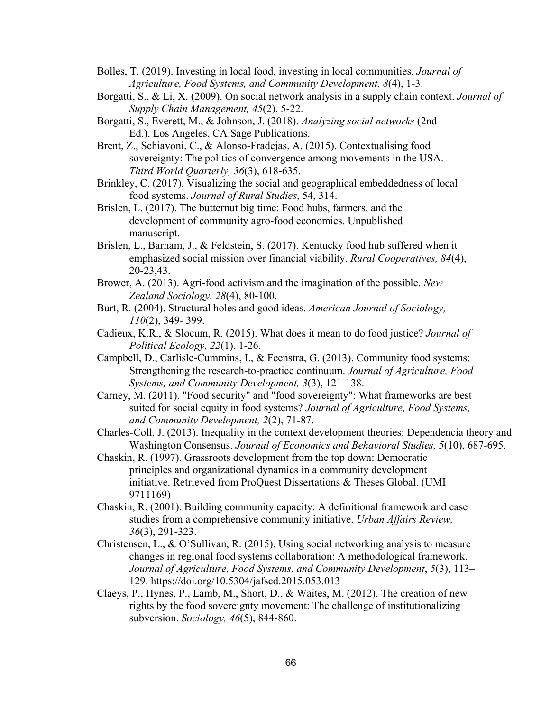- Bolles, T. (2019). Investing in local food, investing in local communities. *Journal of Agriculture, Food Systems, and Community Development, 8*(4), 1-3.
- Borgatti, S., & Li, X. (2009). On social network analysis in a supply chain context. *Journal of Supply Chain Management, 45*(2), 5-22.
- Borgatti, S., Everett, M., & Johnson, J. (2018). *Analyzing social networks* (2nd Ed.). Los Angeles, CA:Sage Publications.
- Brent, Z., Schiavoni, C., & Alonso-Fradejas, A. (2015). Contextualising food sovereignty: The politics of convergence among movements in the USA. *Third World Quarterly, 36*(3), 618-635.
- Brinkley, C. (2017). Visualizing the social and geographical embeddedness of local food systems. *Journal of Rural Studies*, 54, 314.
- Brislen, L. (2017). The butternut big time: Food hubs, farmers, and the development of community agro-food economies. Unpublished manuscript.
- Brislen, L., Barham, J., & Feldstein, S. (2017). Kentucky food hub suffered when it emphasized social mission over financial viability. *Rural Cooperatives, 84*(4), 20-23,43.
- Brower, A. (2013). Agri-food activism and the imagination of the possible. *New Zealand Sociology, 28*(4), 80-100.
- Burt, R. (2004). Structural holes and good ideas. *American Journal of Sociology, 110*(2), 349- 399.
- Cadieux, K.R., & Slocum, R. (2015). What does it mean to do food justice? *Journal of Political Ecology, 22*(1), 1-26.
- Campbell, D., Carlisle-Cummins, I., & Feenstra, G. (2013). Community food systems: Strengthening the research-to-practice continuum. *Journal of Agriculture, Food Systems, and Community Development, 3*(3), 121-138.
- Carney, M. (2011). "Food security" and "food sovereignty": What frameworks are best suited for social equity in food systems? *Journal of Agriculture, Food Systems, and Community Development, 2*(2), 71-87.
- Charles-Coll, J. (2013). Inequality in the context development theories: Dependencia theory and Washington Consensus. *Journal of Economics and Behavioral Studies, 5*(10), 687-695.
- Chaskin, R. (1997). Grassroots development from the top down: Democratic principles and organizational dynamics in a community development initiative. Retrieved from ProQuest Dissertations & Theses Global. (UMI 9711169)
- Chaskin, R. (2001). Building community capacity: A definitional framework and case studies from a comprehensive community initiative. *Urban Affairs Review, 36*(3), 291-323.
- Christensen, L., & O'Sullivan, R. (2015). Using social networking analysis to measure changes in regional food systems collaboration: A methodological framework. *Journal of Agriculture, Food Systems, and Community Development*, *5*(3), 113– 129. https://doi.org/10.5304/jafscd.2015.053.013
- Claeys, P., Hynes, P., Lamb, M., Short, D., & Waites, M. (2012). The creation of new rights by the food sovereignty movement: The challenge of institutionalizing subversion. *Sociology, 46*(5), 844-860.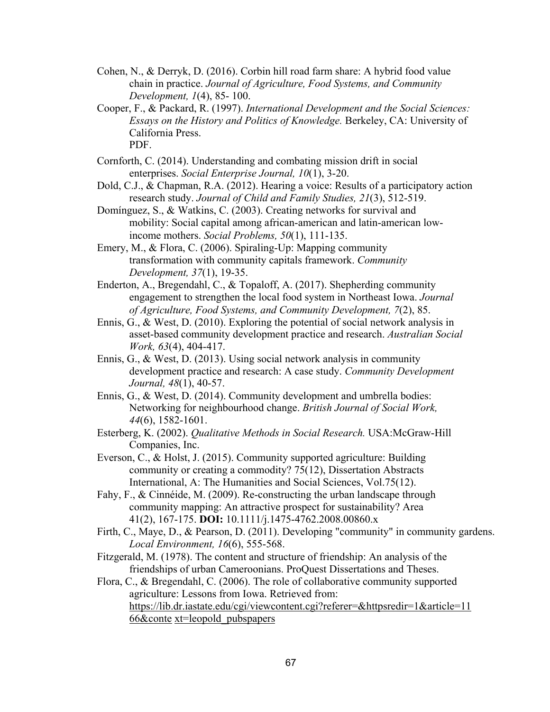- Cohen, N., & Derryk, D. (2016). Corbin hill road farm share: A hybrid food value chain in practice. *Journal of Agriculture, Food Systems, and Community Development, 1*(4), 85- 100.
- Cooper, F., & Packard, R. (1997). *International Development and the Social Sciences: Essays on the History and Politics of Knowledge.* Berkeley, CA: University of California Press. PDF.
- Cornforth, C. (2014). Understanding and combating mission drift in social enterprises. *Social Enterprise Journal, 10*(1), 3-20.
- Dold, C.J., & Chapman, R.A. (2012). Hearing a voice: Results of a participatory action research study. *Journal of Child and Family Studies, 21*(3), 512-519.
- Domínguez, S., & Watkins, C. (2003). Creating networks for survival and mobility: Social capital among african-american and latin-american lowincome mothers. *Social Problems, 50*(1), 111-135.
- Emery, M., & Flora, C. (2006). Spiraling-Up: Mapping community transformation with community capitals framework. *Community Development, 37*(1), 19-35.
- Enderton, A., Bregendahl, C., & Topaloff, A. (2017). Shepherding community engagement to strengthen the local food system in Northeast Iowa. *Journal of Agriculture, Food Systems, and Community Development, 7*(2), 85.
- Ennis, G., & West, D. (2010). Exploring the potential of social network analysis in asset-based community development practice and research. *Australian Social Work, 63*(4), 404-417.
- Ennis, G., & West, D. (2013). Using social network analysis in community development practice and research: A case study. *Community Development Journal, 48*(1), 40-57.
- Ennis, G., & West, D. (2014). Community development and umbrella bodies: Networking for neighbourhood change. *British Journal of Social Work, 44*(6), 1582-1601.
- Esterberg, K. (2002). *Qualitative Methods in Social Research.* USA:McGraw-Hill Companies, Inc.
- Everson, C., & Holst, J. (2015). Community supported agriculture: Building community or creating a commodity? 75(12), Dissertation Abstracts International, A: The Humanities and Social Sciences, Vol.75(12).
- Fahy, F., & Cinnéide, M. (2009). Re-constructing the urban landscape through community mapping: An attractive prospect for sustainability? Area 41(2), 167-175. **DOI:** 10.1111/j.1475-4762.2008.00860.x
- Firth, C., Maye, D., & Pearson, D. (2011). Developing "community" in community gardens. *Local Environment, 16*(6), 555-568.
- Fitzgerald, M. (1978). The content and structure of friendship: An analysis of the friendships of urban Cameroonians. ProQuest Dissertations and Theses.

Flora, C., & Bregendahl, C. (2006). The role of collaborative community supported agriculture: Lessons from Iowa. Retrieved from: https://lib.dr.iastate.edu/cgi/viewcontent.cgi?referer=&httpsredir=1&article=11 66&conte xt=leopold\_pubspapers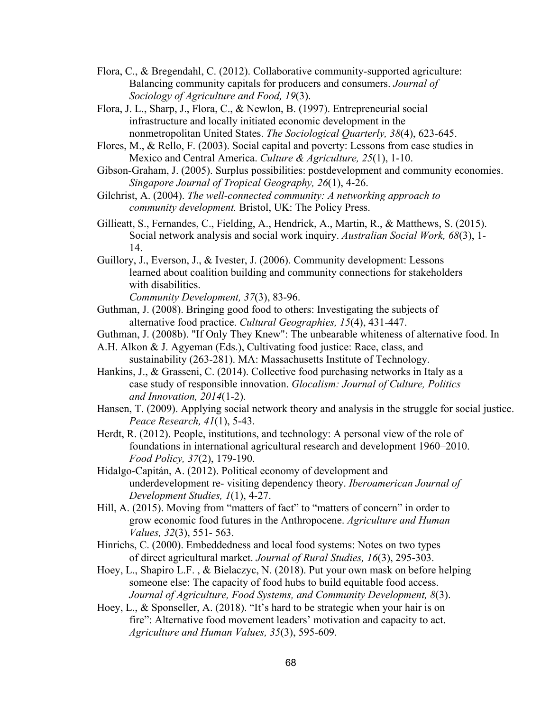- Flora, C., & Bregendahl, C. (2012). Collaborative community-supported agriculture: Balancing community capitals for producers and consumers. *Journal of Sociology of Agriculture and Food, 19*(3).
- Flora, J. L., Sharp, J., Flora, C., & Newlon, B. (1997). Entrepreneurial social infrastructure and locally initiated economic development in the nonmetropolitan United States. *The Sociological Quarterly, 38*(4), 623-645.
- Flores, M., & Rello, F. (2003). Social capital and poverty: Lessons from case studies in Mexico and Central America. *Culture & Agriculture, 25*(1), 1-10.
- Gibson-Graham, J. (2005). Surplus possibilities: postdevelopment and community economies. *Singapore Journal of Tropical Geography, 26*(1), 4-26.
- Gilchrist, A. (2004). *The well-connected community: A networking approach to community development.* Bristol, UK: The Policy Press.
- Gillieatt, S., Fernandes, C., Fielding, A., Hendrick, A., Martin, R., & Matthews, S. (2015). Social network analysis and social work inquiry. *Australian Social Work, 68*(3), 1- 14.
- Guillory, J., Everson, J., & Ivester, J. (2006). Community development: Lessons learned about coalition building and community connections for stakeholders with disabilities. *Community Development, 37*(3), 83-96.
- Guthman, J. (2008). Bringing good food to others: Investigating the subjects of
- alternative food practice. *Cultural Geographies, 15*(4), 431-447.
- Guthman, J. (2008b). "If Only They Knew": The unbearable whiteness of alternative food. In
- A.H. Alkon & J. Agyeman (Eds.), Cultivating food justice: Race, class, and sustainability (263-281). MA: Massachusetts Institute of Technology.
- Hankins, J., & Grasseni, C. (2014). Collective food purchasing networks in Italy as a case study of responsible innovation. *Glocalism: Journal of Culture, Politics and Innovation, 2014*(1-2).
- Hansen, T. (2009). Applying social network theory and analysis in the struggle for social justice. *Peace Research, 41*(1), 5-43.
- Herdt, R. (2012). People, institutions, and technology: A personal view of the role of foundations in international agricultural research and development 1960–2010. *Food Policy, 37*(2), 179-190.
- Hidalgo-Capitán, A. (2012). Political economy of development and underdevelopment re- visiting dependency theory. *Iberoamerican Journal of Development Studies, 1*(1), 4-27.
- Hill, A. (2015). Moving from "matters of fact" to "matters of concern" in order to grow economic food futures in the Anthropocene. *Agriculture and Human Values, 32*(3), 551- 563.
- Hinrichs, C. (2000). Embeddedness and local food systems: Notes on two types of direct agricultural market. *Journal of Rural Studies, 16*(3), 295-303.
- Hoey, L., Shapiro L.F. , & Bielaczyc, N. (2018). Put your own mask on before helping someone else: The capacity of food hubs to build equitable food access. *Journal of Agriculture, Food Systems, and Community Development, 8*(3).
- Hoey, L., & Sponseller, A. (2018). "It's hard to be strategic when your hair is on fire": Alternative food movement leaders' motivation and capacity to act. *Agriculture and Human Values, 35*(3), 595-609.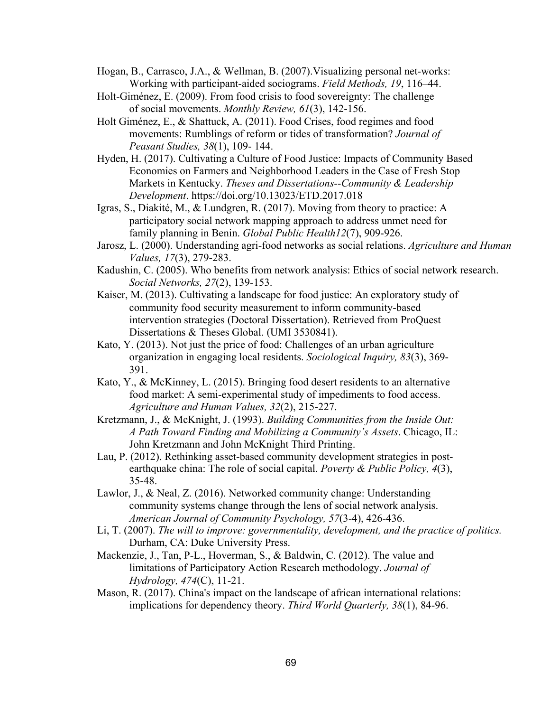Hogan, B., Carrasco, J.A., & Wellman, B. (2007).Visualizing personal net-works: Working with participant-aided sociograms. *Field Methods, 19*, 116–44.

- Holt-Giménez, E. (2009). From food crisis to food sovereignty: The challenge of social movements. *Monthly Review, 61*(3), 142-156.
- Holt Giménez, E., & Shattuck, A. (2011). Food Crises, food regimes and food movements: Rumblings of reform or tides of transformation? *Journal of Peasant Studies, 38*(1), 109- 144.
- Hyden, H. (2017). Cultivating a Culture of Food Justice: Impacts of Community Based Economies on Farmers and Neighborhood Leaders in the Case of Fresh Stop Markets in Kentucky. *Theses and Dissertations--Community & Leadership Development*. https://doi.org/10.13023/ETD.2017.018
- Igras, S., Diakité, M., & Lundgren, R. (2017). Moving from theory to practice: A participatory social network mapping approach to address unmet need for family planning in Benin. *Global Public Health12*(7), 909-926.
- Jarosz, L. (2000). Understanding agri-food networks as social relations. *Agriculture and Human Values, 17*(3), 279-283.
- Kadushin, C. (2005). Who benefits from network analysis: Ethics of social network research. *Social Networks, 27*(2), 139-153.
- Kaiser, M. (2013). Cultivating a landscape for food justice: An exploratory study of community food security measurement to inform community-based intervention strategies (Doctoral Dissertation). Retrieved from ProQuest Dissertations & Theses Global. (UMI 3530841).
- Kato, Y. (2013). Not just the price of food: Challenges of an urban agriculture organization in engaging local residents. *Sociological Inquiry, 83*(3), 369- 391.
- Kato, Y., & McKinney, L. (2015). Bringing food desert residents to an alternative food market: A semi-experimental study of impediments to food access. *Agriculture and Human Values, 32*(2), 215-227.

Kretzmann, J., & McKnight, J. (1993). *Building Communities from the Inside Out: A Path Toward Finding and Mobilizing a Community's Assets*. Chicago, IL: John Kretzmann and John McKnight Third Printing.

- Lau, P. (2012). Rethinking asset-based community development strategies in postearthquake china: The role of social capital. *Poverty & Public Policy, 4*(3), 35-48.
- Lawlor, J., & Neal, Z. (2016). Networked community change: Understanding community systems change through the lens of social network analysis. *American Journal of Community Psychology, 57*(3-4), 426-436.
- Li, T. (2007). *The will to improve: governmentality, development, and the practice of politics.* Durham, CA: Duke University Press.
- Mackenzie, J., Tan, P-L., Hoverman, S., & Baldwin, C. (2012). The value and limitations of Participatory Action Research methodology. *Journal of Hydrology, 474*(C), 11-21.
- Mason, R. (2017). China's impact on the landscape of african international relations: implications for dependency theory. *Third World Quarterly, 38*(1), 84-96.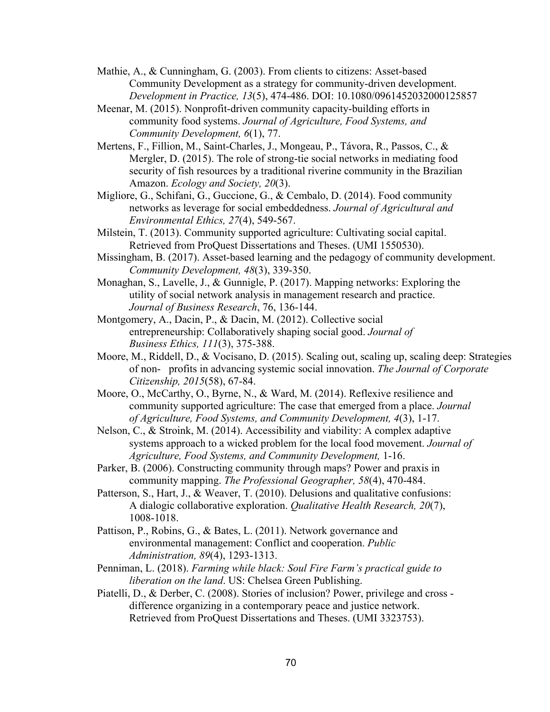- Mathie, A., & Cunningham, G. (2003). From clients to citizens: Asset-based Community Development as a strategy for community-driven development. *Development in Practice, 13*(5), 474-486. DOI: 10.1080/0961452032000125857
- Meenar, M. (2015). Nonprofit-driven community capacity-building efforts in community food systems. *Journal of Agriculture, Food Systems, and Community Development, 6*(1), 77.
- Mertens, F., Fillion, M., Saint-Charles, J., Mongeau, P., Távora, R., Passos, C., & Mergler, D. (2015). The role of strong-tie social networks in mediating food security of fish resources by a traditional riverine community in the Brazilian Amazon. *Ecology and Society, 20*(3).
- Migliore, G., Schifani, G., Guccione, G., & Cembalo, D. (2014). Food community networks as leverage for social embeddedness. *Journal of Agricultural and Environmental Ethics, 27*(4), 549-567.
- Milstein, T. (2013). Community supported agriculture: Cultivating social capital. Retrieved from ProQuest Dissertations and Theses. (UMI 1550530).
- Missingham, B. (2017). Asset-based learning and the pedagogy of community development. *Community Development, 48*(3), 339-350.
- Monaghan, S., Lavelle, J., & Gunnigle, P. (2017). Mapping networks: Exploring the utility of social network analysis in management research and practice. *Journal of Business Research*, 76, 136-144.
- Montgomery, A., Dacin, P., & Dacin, M. (2012). Collective social entrepreneurship: Collaboratively shaping social good. *Journal of Business Ethics, 111*(3), 375-388.
- Moore, M., Riddell, D., & Vocisano, D. (2015). Scaling out, scaling up, scaling deep: Strategies of non- profits in advancing systemic social innovation. *The Journal of Corporate Citizenship, 2015*(58), 67-84.
- Moore, O., McCarthy, O., Byrne, N., & Ward, M. (2014). Reflexive resilience and community supported agriculture: The case that emerged from a place. *Journal of Agriculture, Food Systems, and Community Development, 4*(3), 1-17.
- Nelson, C., & Stroink, M. (2014). Accessibility and viability: A complex adaptive systems approach to a wicked problem for the local food movement. *Journal of Agriculture, Food Systems, and Community Development,* 1-16.
- Parker, B. (2006). Constructing community through maps? Power and praxis in community mapping. *The Professional Geographer, 58*(4), 470-484.
- Patterson, S., Hart, J., & Weaver, T. (2010). Delusions and qualitative confusions: A dialogic collaborative exploration. *Qualitative Health Research, 20*(7), 1008-1018.
- Pattison, P., Robins, G., & Bates, L. (2011). Network governance and environmental management: Conflict and cooperation. *Public Administration, 89*(4), 1293-1313.
- Penniman, L. (2018). *Farming while black: Soul Fire Farm's practical guide to liberation on the land*. US: Chelsea Green Publishing.
- Piatelli, D., & Derber, C. (2008). Stories of inclusion? Power, privilege and cross difference organizing in a contemporary peace and justice network. Retrieved from ProQuest Dissertations and Theses. (UMI 3323753).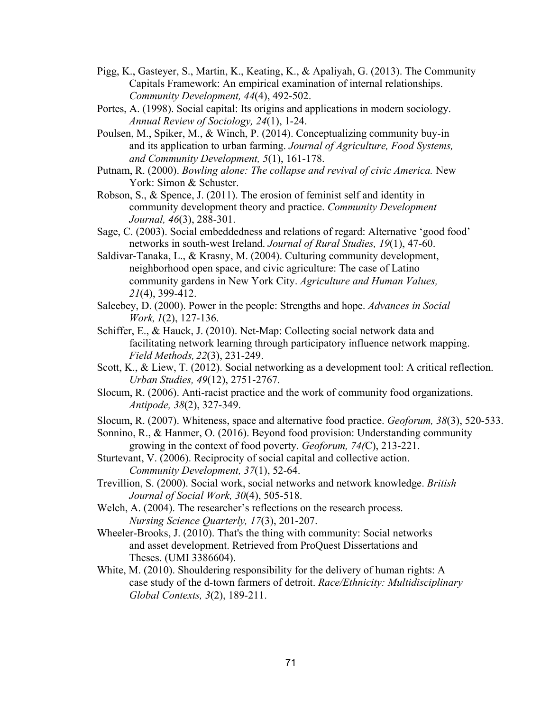- Pigg, K., Gasteyer, S., Martin, K., Keating, K., & Apaliyah, G. (2013). The Community Capitals Framework: An empirical examination of internal relationships. *Community Development, 44*(4), 492-502.
- Portes, A. (1998). Social capital: Its origins and applications in modern sociology. *Annual Review of Sociology, 24*(1), 1-24.
- Poulsen, M., Spiker, M., & Winch, P. (2014). Conceptualizing community buy-in and its application to urban farming. *Journal of Agriculture, Food Systems, and Community Development, 5*(1), 161-178.
- Putnam, R. (2000). *Bowling alone: The collapse and revival of civic America.* New York: Simon & Schuster.
- Robson, S., & Spence, J. (2011). The erosion of feminist self and identity in community development theory and practice. *Community Development Journal, 46*(3), 288-301.
- Sage, C. (2003). Social embeddedness and relations of regard: Alternative 'good food' networks in south-west Ireland. *Journal of Rural Studies, 19*(1), 47-60.
- Saldivar-Tanaka, L., & Krasny, M. (2004). Culturing community development, neighborhood open space, and civic agriculture: The case of Latino community gardens in New York City. *Agriculture and Human Values, 21*(4), 399-412.
- Saleebey, D. (2000). Power in the people: Strengths and hope. *Advances in Social Work, 1*(2), 127-136.
- Schiffer, E., & Hauck, J. (2010). Net-Map: Collecting social network data and facilitating network learning through participatory influence network mapping. *Field Methods, 22*(3), 231-249.
- Scott, K., & Liew, T. (2012). Social networking as a development tool: A critical reflection. *Urban Studies, 49*(12), 2751-2767.
- Slocum, R. (2006). Anti-racist practice and the work of community food organizations. *Antipode, 38*(2), 327-349.
- Slocum, R. (2007). Whiteness, space and alternative food practice. *Geoforum, 38*(3), 520-533.
- Sonnino, R., & Hanmer, O. (2016). Beyond food provision: Understanding community growing in the context of food poverty. *Geoforum, 74(*C), 213-221.
- Sturtevant, V. (2006). Reciprocity of social capital and collective action. *Community Development, 37*(1), 52-64.
- Trevillion, S. (2000). Social work, social networks and network knowledge. *British Journal of Social Work, 30*(4), 505-518.
- Welch, A. (2004). The researcher's reflections on the research process. *Nursing Science Quarterly, 17*(3), 201-207.
- Wheeler-Brooks, J. (2010). That's the thing with community: Social networks and asset development. Retrieved from ProQuest Dissertations and Theses. (UMI 3386604).
- White, M. (2010). Shouldering responsibility for the delivery of human rights: A case study of the d-town farmers of detroit. *Race/Ethnicity: Multidisciplinary Global Contexts, 3*(2), 189-211.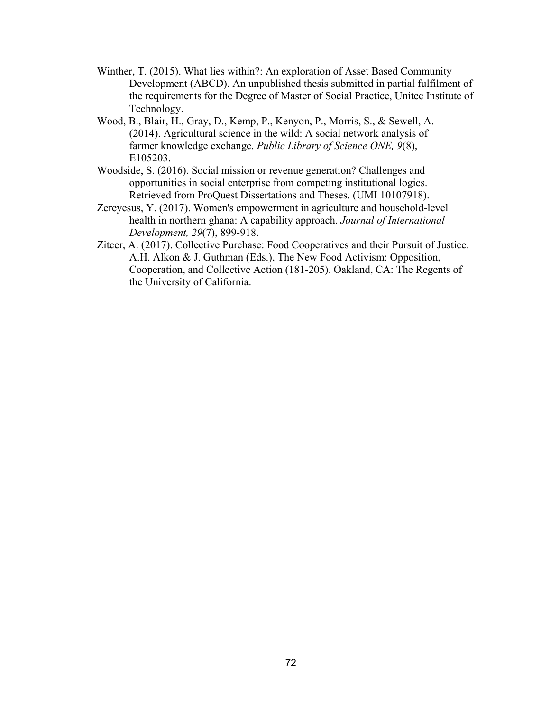- Winther, T. (2015). What lies within?: An exploration of Asset Based Community Development (ABCD). An unpublished thesis submitted in partial fulfilment of the requirements for the Degree of Master of Social Practice, Unitec Institute of Technology.
- Wood, B., Blair, H., Gray, D., Kemp, P., Kenyon, P., Morris, S., & Sewell, A. (2014). Agricultural science in the wild: A social network analysis of farmer knowledge exchange. *Public Library of Science ONE, 9*(8), E105203.
- Woodside, S. (2016). Social mission or revenue generation? Challenges and opportunities in social enterprise from competing institutional logics. Retrieved from ProQuest Dissertations and Theses. (UMI 10107918).
- Zereyesus, Y. (2017). Women's empowerment in agriculture and household-level health in northern ghana: A capability approach. *Journal of International Development, 29*(7), 899-918.
- Zitcer, A. (2017). Collective Purchase: Food Cooperatives and their Pursuit of Justice. A.H. Alkon & J. Guthman (Eds.), The New Food Activism: Opposition, Cooperation, and Collective Action (181-205). Oakland, CA: The Regents of the University of California.